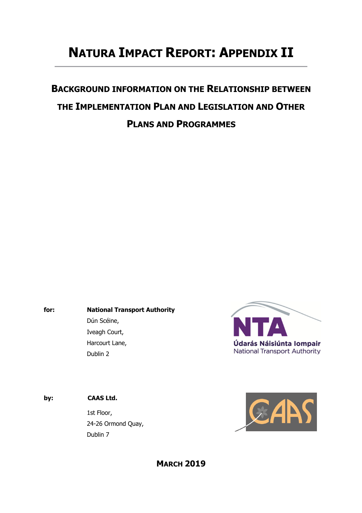# **NATURA IMPACT REPORT: APPENDIX II**

# **BACKGROUND INFORMATION ON THE RELATIONSHIP BETWEEN THE IMPLEMENTATION PLAN AND LEGISLATION AND OTHER PLANS AND PROGRAMMES**

**for: National Transport Authority**  Dún Scéine, Iveagh Court, Harcourt Lane, Dublin 2



### **by: CAAS Ltd.**

1st Floor, 24-26 Ormond Quay, Dublin 7

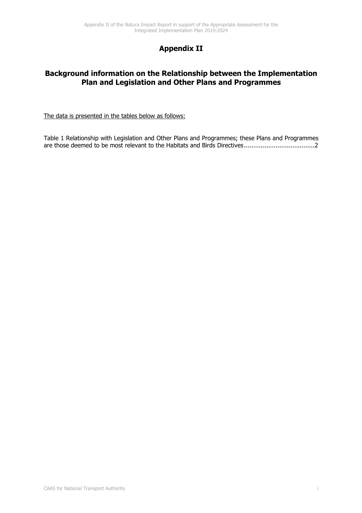# **Appendix II**

## **Background information on the Relationship between the Implementation Plan and Legislation and Other Plans and Programmes**

The data is presented in the tables below as follows:

Table 1 Relationship with Legislation and Other Plans and Programmes; these Plans and Programmes are those deemed to be most relevant to the Habitats and Birds Directives ...................................... 2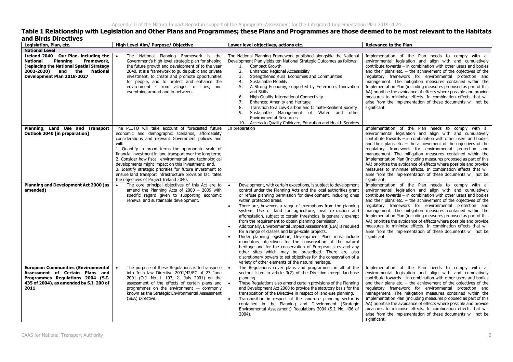### **Table 1 Relationship with Legislation and Other Plans and Programmes; these Plans and Programmes are those deemed to be most relevant to the Habitats and Birds Directives**

| Legislation, Plan, etc.                                                                                                                                                                             | High Level Aim/ Purpose/ Objective                                                                                                                                                                                                                                                                                                                                                                                                                                                                                                                                                | Lower level objectives, actions etc.                                                                                                                                                                                                                                                                                                                                                                                                                                                                                                                                                                                                                                                                                                                                                                                                                                                                                                                                                                | <b>Relevance to the Plan</b>                                                                                                                                                                                                                                                                                                                                                                                                                                                                                                                                                                                                                                                |
|-----------------------------------------------------------------------------------------------------------------------------------------------------------------------------------------------------|-----------------------------------------------------------------------------------------------------------------------------------------------------------------------------------------------------------------------------------------------------------------------------------------------------------------------------------------------------------------------------------------------------------------------------------------------------------------------------------------------------------------------------------------------------------------------------------|-----------------------------------------------------------------------------------------------------------------------------------------------------------------------------------------------------------------------------------------------------------------------------------------------------------------------------------------------------------------------------------------------------------------------------------------------------------------------------------------------------------------------------------------------------------------------------------------------------------------------------------------------------------------------------------------------------------------------------------------------------------------------------------------------------------------------------------------------------------------------------------------------------------------------------------------------------------------------------------------------------|-----------------------------------------------------------------------------------------------------------------------------------------------------------------------------------------------------------------------------------------------------------------------------------------------------------------------------------------------------------------------------------------------------------------------------------------------------------------------------------------------------------------------------------------------------------------------------------------------------------------------------------------------------------------------------|
| <b>National Level</b>                                                                                                                                                                               |                                                                                                                                                                                                                                                                                                                                                                                                                                                                                                                                                                                   |                                                                                                                                                                                                                                                                                                                                                                                                                                                                                                                                                                                                                                                                                                                                                                                                                                                                                                                                                                                                     |                                                                                                                                                                                                                                                                                                                                                                                                                                                                                                                                                                                                                                                                             |
| Ireland 2040 - Our Plan, including the<br><b>Planning</b><br>Framework,<br><b>National</b><br>replacing the National Spatial Strategy)<br>2002-2020) and the National<br>Development Plan 2018-2027 | The National Planning Framework is the<br>Government's high-level strategic plan for shaping<br>the future growth and development of to the year<br>2040. It is a framework to guide public and private<br>investment, to create and promote opportunities<br>for people, and to protect and enhance the<br>environment - from villages to cities, and<br>everything around and in between.                                                                                                                                                                                       | The National Planning Framework published alongside the National<br>Development Plan yields ten National Strategic Outcomes as follows:<br>Compact Growth<br>1.<br>2.<br><b>Enhanced Regional Accessibility</b><br>3.<br>Strengthened Rural Economies and Communities<br>4.<br><b>Sustainable Mobility</b><br>5.<br>A Strong Economy, supported by Enterprise, Innovation<br>and Skills<br>High-Quality International Connectivity<br>6.<br>7.<br>Enhanced Amenity and Heritage<br>Transition to a Low-Carbon and Climate-Resilient Society<br>8.<br>Sustainable Management of Water and other<br>9.<br><b>Environmental Resources</b><br>Access to Quality Childcare, Education and Health Services<br>10.                                                                                                                                                                                                                                                                                         | Implementation of the Plan needs to comply with all<br>environmental legislation and align with and cumulatively<br>contribute towards $-$ in combination with other users and bodies<br>and their plans etc. $-$ the achievement of the objectives of the<br>regulatory framework for environmental protection and<br>management. The mitigation measures contained within the<br>Implementation Plan (including measures proposed as part of this<br>AA) prioritise the avoidance of effects where possible and provide<br>measures to minimise effects. In combination effects that will<br>arise from the implementation of these documents will not be<br>significant. |
| Planning, Land Use and Transport<br>Outlook 2040 [in preparation]                                                                                                                                   | The PLUTO will take account of forecasted future<br>economic and demographic scenarios, affordability<br>considerations and relevant Government policies and<br>will:<br>1. Quantify in broad terms the appropriate scale of<br>financial investment in land transport over the long term;<br>2. Consider how fiscal, environmental and technological<br>developments might impact on this investment; and,<br>3. Identify strategic priorities for future investment to<br>ensure land transport infrastructure provision facilitates<br>the objectives of Project Ireland 2040. | In preparation                                                                                                                                                                                                                                                                                                                                                                                                                                                                                                                                                                                                                                                                                                                                                                                                                                                                                                                                                                                      | Implementation of the Plan needs to comply with all<br>environmental legislation and align with and cumulatively<br>contribute towards - in combination with other users and bodies<br>and their plans etc. $-$ the achievement of the objectives of the<br>regulatory framework for environmental protection and<br>management. The mitigation measures contained within the<br>Implementation Plan (including measures proposed as part of this<br>AA) prioritise the avoidance of effects where possible and provide<br>measures to minimise effects. In combination effects that will<br>arise from the implementation of these documents will not be<br>significant.   |
| <b>Planning and Development Act 2000 (as</b><br>amended)                                                                                                                                            | The core principal objectives of this Act are to<br>$\bullet$<br>amend the Planning Acts of $2000 - 2009$ with<br>specific regard given to supporting economic<br>renewal and sustainable development.                                                                                                                                                                                                                                                                                                                                                                            | Development, with certain exceptions, is subject to development<br>control under the Planning Acts and the local authorities grant<br>or refuse planning permission for development, including ones<br>within protected areas.<br>There are, however, a range of exemptions from the planning<br>$\bullet$<br>system. Use of land for agriculture, peat extraction and<br>afforestation, subject to certain thresholds, is generally exempt<br>from the requirement to obtain planning permission.<br>Additionally, Environmental Impact Assessment (EIA) is required<br>for a range of classes and large-scale projects.<br>Under planning legislation, Development Plans must include<br>mandatory objectives for the conservation of the natural<br>heritage and for the conservation of European sites and any<br>other sites which may be prescribed. There are also<br>discretionary powers to set objectives for the conservation of a<br>variety of other elements of the natural heritage. | Implementation of the Plan needs to comply with all<br>environmental legislation and align with and cumulatively<br>contribute towards $-$ in combination with other users and bodies<br>and their plans etc. $-$ the achievement of the objectives of the<br>regulatory framework for environmental protection and<br>management. The mitigation measures contained within the<br>Implementation Plan (including measures proposed as part of this<br>AA) prioritise the avoidance of effects where possible and provide<br>measures to minimise effects. In combination effects that will<br>arise from the implementation of these documents will not be<br>significant. |
| <b>European Communities (Environmental</b><br>Assessment of Certain Plans and<br>Programmes Regulations 2004 (S.I.<br>435 of 2004), as amended by S.I. 200 of<br>2011                               | The purpose of these Regulations is to transpose<br>into Irish law Directive 2001/42/EC of 27 June<br>2001 (O.J. No. L 197, 21 July 2001) on the<br>assessment of the effects of certain plans and<br>programmes on the environment $-$ commonly<br>known as the Strategic Environmental Assessment<br>(SEA) Directive.                                                                                                                                                                                                                                                           | The Regulations cover plans and programmes in all of the<br>sectors listed in article 3(2) of the Directive except land-use<br>planning.<br>These Regulations also amend certain provisions of the Planning<br>$\bullet$<br>and Development Act 2000 to provide the statutory basis for the<br>transposition of the Directive in respect of land-use planning.<br>Transposition in respect of the land-use planning sector is<br>$\bullet$<br>contained in the Planning and Development (Strategic<br>Environmental Assessment) Regulations 2004 (S.I. No. 436 of<br>2004).                                                                                                                                                                                                                                                                                                                                                                                                                         | Implementation of the Plan needs to comply with all<br>environmental legislation and align with and cumulatively<br>contribute towards $-$ in combination with other users and bodies<br>and their plans etc. $-$ the achievement of the objectives of the<br>regulatory framework for environmental protection and<br>management. The mitigation measures contained within the<br>Implementation Plan (including measures proposed as part of this<br>AA) prioritise the avoidance of effects where possible and provide<br>measures to minimise effects. In combination effects that will<br>arise from the implementation of these documents will not be<br>significant. |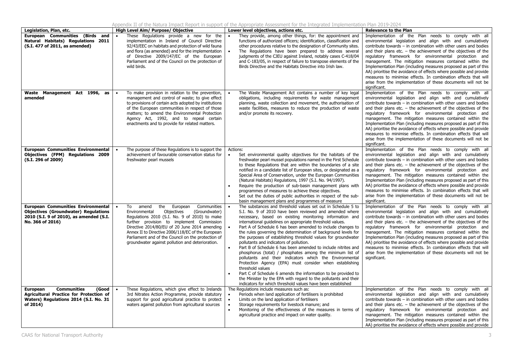|                                                                                                                                                         |                                                                                                                                                                                                                                                                                                                                                                                                             | Appendix II of the Natura Impact Report in support of the Appropriate Assessment for the Integrated Implementation Plan 2019-2024                                                                                                                                                                                                                                                                                                                                                                                                                                                                                                                                                                                                                                                                                                                                                                                                                                                    |                                                                                                                                                                                                                                                                                                                                                                                                                                                                                                                                                                                                                                                                             |
|---------------------------------------------------------------------------------------------------------------------------------------------------------|-------------------------------------------------------------------------------------------------------------------------------------------------------------------------------------------------------------------------------------------------------------------------------------------------------------------------------------------------------------------------------------------------------------|--------------------------------------------------------------------------------------------------------------------------------------------------------------------------------------------------------------------------------------------------------------------------------------------------------------------------------------------------------------------------------------------------------------------------------------------------------------------------------------------------------------------------------------------------------------------------------------------------------------------------------------------------------------------------------------------------------------------------------------------------------------------------------------------------------------------------------------------------------------------------------------------------------------------------------------------------------------------------------------|-----------------------------------------------------------------------------------------------------------------------------------------------------------------------------------------------------------------------------------------------------------------------------------------------------------------------------------------------------------------------------------------------------------------------------------------------------------------------------------------------------------------------------------------------------------------------------------------------------------------------------------------------------------------------------|
| Legislation, Plan, etc.                                                                                                                                 | High Level Aim/ Purpose/ Objective                                                                                                                                                                                                                                                                                                                                                                          | Lower level objectives, actions etc.                                                                                                                                                                                                                                                                                                                                                                                                                                                                                                                                                                                                                                                                                                                                                                                                                                                                                                                                                 | <b>Relevance to the Plan</b>                                                                                                                                                                                                                                                                                                                                                                                                                                                                                                                                                                                                                                                |
| European Communities (Birds and<br>Natural Habitats) Regulations 2011<br>(S.I. 477 of 2011, as amended)                                                 | These Regulations provide a new for the<br>implementation in Ireland of Council Directive<br>92/43/EEC on habitats and protection of wild fauna<br>and flora (as amended) and for the implementation<br>of Directive 2009/147/EC of the European<br>Parliament and of the Council on the protection of<br>wild birds.                                                                                       | They provide, among other things, for: the appointment and<br>functions of authorized officers; identification, classification and<br>other procedures relative to the designation of Community sites.<br>The Regulations have been prepared to address several<br>judgments of the CJEU against Ireland, notably cases C-418/04<br>and C-183/05, in respect of failure to transpose elements of the<br>Birds Directive and the Habitats Directive into Irish law.                                                                                                                                                                                                                                                                                                                                                                                                                                                                                                                   | Implementation of the Plan needs to comply with all<br>environmental legislation and align with and cumulatively<br>contribute towards - in combination with other users and bodies<br>and their plans etc. $-$ the achievement of the objectives of the<br>regulatory framework for environmental protection and<br>management. The mitigation measures contained within the<br>Implementation Plan (including measures proposed as part of this<br>AA) prioritise the avoidance of effects where possible and provide<br>measures to minimise effects. In combination effects that will<br>arise from the implementation of these documents will not be<br>significant.   |
| Waste Management Act 1996, as<br>amended                                                                                                                | To make provision in relation to the prevention,<br>management and control of waste; to give effect<br>to provisions of certain acts adopted by institutions<br>of the European communities in respect of those<br>matters; to amend the Environmental Protection<br>Agency Act, 1992, and to repeal certain<br>enactments and to provide for related matters.                                              | The Waste Management Act contains a number of key legal<br>obligations, including requirements for waste management<br>planning, waste collection and movement, the authorisation of<br>waste facilities, measures to reduce the production of waste<br>and/or promote its recovery.                                                                                                                                                                                                                                                                                                                                                                                                                                                                                                                                                                                                                                                                                                 | Implementation of the Plan needs to comply with all<br>environmental legislation and align with and cumulatively<br>contribute towards $-$ in combination with other users and bodies<br>and their plans etc. $-$ the achievement of the objectives of the<br>regulatory framework for environmental protection and<br>management. The mitigation measures contained within the<br>Implementation Plan (including measures proposed as part of this<br>AA) prioritise the avoidance of effects where possible and provide<br>measures to minimise effects. In combination effects that will<br>arise from the implementation of these documents will not be<br>significant. |
| <b>European Communities Environmental</b><br><b>Objectives (FPM) Requlations 2009</b><br>(S.I. 296 of 2009)                                             | The purpose of these Regulations is to support the<br>achievement of favourable conservation status for<br>freshwater pearl mussels                                                                                                                                                                                                                                                                         | Actions:<br>$\bullet$<br>Set environmental quality objectives for the habitats of the<br>freshwater pearl mussel populations named in the First Schedule<br>to these Regulations that are within the boundaries of a site<br>notified in a candidate list of European sites, or designated as a<br>Special Area of Conservation, under the European Communities<br>(Natural Habitats) Regulations, 1997 (S.I. No. 94/1997).<br>Require the production of sub-basin management plans with<br>programmes of measures to achieve these objectives.<br>Set out the duties of public authorities in respect of the sub-<br>$\bullet$<br>basin management plans and programmes of measure                                                                                                                                                                                                                                                                                                  | Implementation of the Plan needs to comply with all<br>environmental legislation and align with and cumulatively<br>contribute towards - in combination with other users and bodies<br>and their plans etc. $-$ the achievement of the objectives of the<br>regulatory framework for environmental protection and<br>management. The mitigation measures contained within the<br>Implementation Plan (including measures proposed as part of this<br>AA) prioritise the avoidance of effects where possible and provide<br>measures to minimise effects. In combination effects that will<br>arise from the implementation of these documents will not be<br>significant.   |
| <b>European Communities Environmental</b><br><b>Objectives (Groundwater) Regulations</b><br>2010 (S.I. 9 of 2010), as amended (S.I.<br>No. 366 of 2016) | To<br>amend<br>the<br>European<br>Communities<br>Environmental<br>Objectives<br>(Groundwater)<br>Regulations 2010 (S.I. No. 9 of 2010) to make<br>further provision to implement Commission<br>Directive 2014/80/EU of 20 June 2014 amending<br>Annex II to Directive 2006/118/EC of the European<br>Parliament and of the Council on the protection of<br>groundwater against pollution and deterioration. | The substances and threshold values set out in Schedule 5 to<br>S.I. No. 9 of 2010 have been reviewed and amended where<br>necessary, based on existing monitoring information and<br>international guidelines on appropriate threshold values.<br>Part A of Schedule 6 has been amended to include changes to<br>the rules governing the determination of background levels for<br>the purposes of establishing threshold values for groundwater<br>pollutants and indicators of pollution.<br>Part B of Schedule 6 has been amended to include nitrites and<br>phosphorus (total) / phosphates among the minimum list of<br>pollutants and their indicators which the Environmental<br>Protection Agency (EPA) must consider when establishing<br>threshold values<br>Part C of Schedule 6 amends the information to be provided to<br>$\bullet$<br>the Minister by the EPA with regard to the pollutants and their<br>indicators for which threshold values have been established | Implementation of the Plan needs to comply with all<br>environmental legislation and align with and cumulatively<br>contribute towards - in combination with other users and bodies<br>and their plans etc. $-$ the achievement of the objectives of the<br>regulatory framework for environmental protection and<br>management. The mitigation measures contained within the<br>Implementation Plan (including measures proposed as part of this<br>AA) prioritise the avoidance of effects where possible and provide<br>measures to minimise effects. In combination effects that will<br>arise from the implementation of these documents will not be<br>significant.   |
| <b>European</b><br><b>Communities</b><br>(Good<br><b>Agricultural Practice for Protection of</b><br>Waters) Regulations 2014 (S.I. No. 31<br>of 2014)   | These Regulations, which give effect to Irelands<br>3rd Nitrates Action Programme, provide statutory<br>support for good agricultural practice to protect<br>waters against pollution from agricultural sources                                                                                                                                                                                             | The Regulations include measures such as:<br>Periods when land application of fertilisers is prohibited<br>$\bullet$<br>$\bullet$<br>Limits on the land application of fertilisers<br>Storage requirements for livestock manure; and<br>Monitoring of the effectiveness of the measures in terms of<br>$\bullet$<br>agricultural practice and impact on water quality.                                                                                                                                                                                                                                                                                                                                                                                                                                                                                                                                                                                                               | Implementation of the Plan needs to comply with all<br>environmental legislation and align with and cumulatively<br>contribute towards - in combination with other users and bodies<br>and their plans etc. $-$ the achievement of the objectives of the<br>regulatory framework for environmental protection and<br>management. The mitigation measures contained within the<br>Implementation Plan (including measures proposed as part of this<br>AA) prioritise the avoidance of effects where possible and provide                                                                                                                                                     |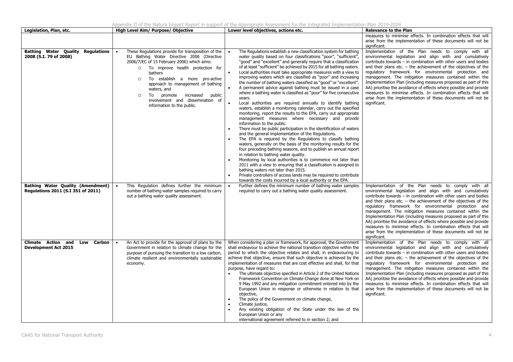|                                                                                |                                                                                                                                                                                                                                                                                                                                                                                                                                 | 4ppenaix 11 of the Natura Impact Report in Support of the Appropriate Assessment for the Integrated Implementation Plan 2019-2024                                                                                                                                                                                                                                                                                                                                                                                                                                                                                                                                                                                                                                                                                                                                                                                                                                                                                                                                                                                                                                                                                                                                                                                                                                                                                                                                                                                                                                                                                                             |                                                                                                                                                                                                                                                                                                                                                                                                                                                                                                                                                                                                                                                                           |
|--------------------------------------------------------------------------------|---------------------------------------------------------------------------------------------------------------------------------------------------------------------------------------------------------------------------------------------------------------------------------------------------------------------------------------------------------------------------------------------------------------------------------|-----------------------------------------------------------------------------------------------------------------------------------------------------------------------------------------------------------------------------------------------------------------------------------------------------------------------------------------------------------------------------------------------------------------------------------------------------------------------------------------------------------------------------------------------------------------------------------------------------------------------------------------------------------------------------------------------------------------------------------------------------------------------------------------------------------------------------------------------------------------------------------------------------------------------------------------------------------------------------------------------------------------------------------------------------------------------------------------------------------------------------------------------------------------------------------------------------------------------------------------------------------------------------------------------------------------------------------------------------------------------------------------------------------------------------------------------------------------------------------------------------------------------------------------------------------------------------------------------------------------------------------------------|---------------------------------------------------------------------------------------------------------------------------------------------------------------------------------------------------------------------------------------------------------------------------------------------------------------------------------------------------------------------------------------------------------------------------------------------------------------------------------------------------------------------------------------------------------------------------------------------------------------------------------------------------------------------------|
| Legislation, Plan, etc.                                                        | High Level Aim/ Purpose/ Objective                                                                                                                                                                                                                                                                                                                                                                                              | Lower level objectives, actions etc.                                                                                                                                                                                                                                                                                                                                                                                                                                                                                                                                                                                                                                                                                                                                                                                                                                                                                                                                                                                                                                                                                                                                                                                                                                                                                                                                                                                                                                                                                                                                                                                                          | <b>Relevance to the Plan</b>                                                                                                                                                                                                                                                                                                                                                                                                                                                                                                                                                                                                                                              |
|                                                                                |                                                                                                                                                                                                                                                                                                                                                                                                                                 |                                                                                                                                                                                                                                                                                                                                                                                                                                                                                                                                                                                                                                                                                                                                                                                                                                                                                                                                                                                                                                                                                                                                                                                                                                                                                                                                                                                                                                                                                                                                                                                                                                               | measures to minimise effects. In combination effects that will<br>arise from the implementation of these documents will not be<br>significant.                                                                                                                                                                                                                                                                                                                                                                                                                                                                                                                            |
| <b>Bathing Water Quality Regulations</b><br>2008 (S.I. 79 of 2008)             | These Regulations provide for transposition of the<br>$\bullet$<br>EU Bathing Water Directive 2006 (Directive<br>2006/7/EC of 15 February 2006) which aims:<br>O To improve health protection for<br>bathers<br>To establish a more pro-active<br>$\circ$<br>approach to management of bathing<br>waters, and<br>To<br>promote increased<br>public<br>$\circ$<br>involvement and dissemination of<br>information to the public. | The Regulations establish a new classification system for bathing<br>water quality based on four classifications "poor", "sufficient",<br>"good" and "excellent" and generally require that a classification<br>of at least "sufficient" be achieved by 2015 for all bathing waters.<br>Local authorities must take appropriate measures with a view to<br>$\bullet$<br>improving waters which are classified as "poor" and increasing<br>the number of bathing waters classified as "good" or "excellent".<br>A permanent advice against bathing must be issued in a case<br>where a bathing water is classified as "poor" for five consecutive<br>years.<br>Local authorities are required annually to identify bathing<br>waters, establish a monitoring calendar, carry out the specified<br>monitoring, report the results to the EPA, carry out appropriate<br>management measures where necessary and provide<br>information to the public.<br>There must be public participation in the identification of waters<br>and the general implementation of the Regulations.<br>The EPA is required by the Regulations to classify bathing<br>waters, generally on the basis of the monitoring results for the<br>four preceding bathing seasons, and to publish an annual report<br>in relation to bathing water quality.<br>Monitoring by local authorities is to commence not later than<br>2011 with a view to ensuring that a classification is assigned to<br>bathing waters not later than 2015.<br>Private controllers of access lands may be required to contribute<br>towards the costs incurred by a local authority or the EPA. | Implementation of the Plan needs to comply with all<br>environmental legislation and align with and cumulatively<br>contribute towards - in combination with other users and bodies<br>and their plans etc. $-$ the achievement of the objectives of the<br>regulatory framework for environmental protection and<br>management. The mitigation measures contained within the<br>Implementation Plan (including measures proposed as part of this<br>AA) prioritise the avoidance of effects where possible and provide<br>measures to minimise effects. In combination effects that will<br>arise from the implementation of these documents will not be<br>significant. |
| <b>Bathing Water Quality (Amendment)</b><br>Regulations 2011 (S.I 351 of 2011) | This Regulation defines further the minimum<br>number of bathing water samples required to carry<br>out a bathing water quality assessment.                                                                                                                                                                                                                                                                                     | Further defines the minimum number of bathing water samples<br>required to carry out a bathing water quality assessment.                                                                                                                                                                                                                                                                                                                                                                                                                                                                                                                                                                                                                                                                                                                                                                                                                                                                                                                                                                                                                                                                                                                                                                                                                                                                                                                                                                                                                                                                                                                      | Implementation of the Plan needs to comply with all<br>environmental legislation and align with and cumulatively<br>contribute towards - in combination with other users and bodies<br>and their plans etc. $-$ the achievement of the objectives of the<br>regulatory framework for environmental protection and<br>management. The mitigation measures contained within the<br>Implementation Plan (including measures proposed as part of this<br>AA) prioritise the avoidance of effects where possible and provide<br>measures to minimise effects. In combination effects that will<br>arise from the implementation of these documents will not be<br>significant. |
| <b>Climate Action and</b><br>Carbon<br>Low<br><b>Development Act 2015</b>      | An Act to provide for the approval of plans by the<br>$\bullet$<br>Government in relation to climate change for the<br>purpose of pursuing the transition to a low carbon,<br>climate resilient and environmentally sustainable<br>economy.                                                                                                                                                                                     | When considering a plan or framework, for approval, the Government<br>shall endeavour to achieve the national transition objective within the<br>period to which the objective relates and shall, in endeavouring to<br>achieve that objective, ensure that such objective is achieved by the<br>implementation of measures that are cost effective and shall, for that<br>purpose, have regard to:<br>The ultimate objective specified in Article 2 of the United Nations<br>Framework Convention on Climate Change done at New York on<br>9 May 1992 and any mitigation commitment entered into by the<br>European Union in response or otherwise in relation to that<br>objective,<br>The policy of the Government on climate change,<br>Climate justice,<br>Any existing obligation of the State under the law of the<br>European Union or any<br>international agreement referred to in section 2; and                                                                                                                                                                                                                                                                                                                                                                                                                                                                                                                                                                                                                                                                                                                                   | Implementation of the Plan needs to comply with all<br>environmental legislation and align with and cumulatively<br>contribute towards - in combination with other users and bodies<br>and their plans etc. $-$ the achievement of the objectives of the<br>regulatory framework for environmental protection and<br>management. The mitigation measures contained within the<br>Implementation Plan (including measures proposed as part of this<br>AA) prioritise the avoidance of effects where possible and provide<br>measures to minimise effects. In combination effects that will<br>arise from the implementation of these documents will not be<br>significant. |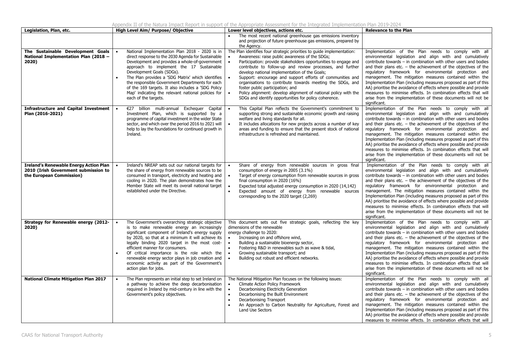Appendix II of the Natura Impact Report in support of the Appropriate Assessment for the Integrated Implementation Plan 2019-2024

| Legislation, Plan, etc.                                                                                           | High Level Aim/ Purpose/ Objective                                                                                                                                                                                                                                                                                                                                                                                                                                          | Lower level objectives, actions etc.                                                                                                                                                                                                                                                                                                                                                                                                                                                                                                                                                                | <b>Relevance to the Plan</b>                                                                                                                                                                                                                                                                                                                                                                                                                                                                                                                                                                                                                                                |  |  |  |
|-------------------------------------------------------------------------------------------------------------------|-----------------------------------------------------------------------------------------------------------------------------------------------------------------------------------------------------------------------------------------------------------------------------------------------------------------------------------------------------------------------------------------------------------------------------------------------------------------------------|-----------------------------------------------------------------------------------------------------------------------------------------------------------------------------------------------------------------------------------------------------------------------------------------------------------------------------------------------------------------------------------------------------------------------------------------------------------------------------------------------------------------------------------------------------------------------------------------------------|-----------------------------------------------------------------------------------------------------------------------------------------------------------------------------------------------------------------------------------------------------------------------------------------------------------------------------------------------------------------------------------------------------------------------------------------------------------------------------------------------------------------------------------------------------------------------------------------------------------------------------------------------------------------------------|--|--|--|
|                                                                                                                   |                                                                                                                                                                                                                                                                                                                                                                                                                                                                             | The most recent national greenhouse gas emissions inventory<br>and projection of future greenhouse gas emissions, prepared by<br>the Agency.                                                                                                                                                                                                                                                                                                                                                                                                                                                        |                                                                                                                                                                                                                                                                                                                                                                                                                                                                                                                                                                                                                                                                             |  |  |  |
| The Sustainable Development Goals<br>National Implementation Plan (2018 -<br>2020)                                | National Implementation Plan 2018 - 2020 is in<br>direct response to the 2030 Agenda for Sustainable<br>Development and provides a whole-of-government<br>approach to implement the 17 Sustainable<br>Development Goals (SDGs).<br>The Plan provides a 'SDG Matrix' which identifies<br>the responsible Government Departments for each<br>of the 169 targets. It also includes a 'SDG Policy<br>Map' indicating the relevant national policies for<br>each of the targets. | The Plan identifies four strategic priorities to guide implementation:<br>Awareness: raise public awareness of the SDGs;<br>Participation: provide stakeholders opportunities to engage and<br>contribute to follow-up and review processes, and further<br>develop national implementation of the Goals;<br>Support: encourage and support efforts of communities and<br>organisations to contribute towards meeting the SDGs, and<br>foster public participation; and<br>Policy alignment: develop alignment of national policy with the<br>SDGs and identify opportunities for policy coherence. | Implementation of the Plan needs to comply with all<br>environmental legislation and align with and cumulatively<br>contribute towards - in combination with other users and bodies<br>and their plans etc. $-$ the achievement of the objectives of the<br>regulatory framework for environmental protection and<br>management. The mitigation measures contained within the<br>Implementation Plan (including measures proposed as part of this<br>AA) prioritise the avoidance of effects where possible and provide<br>measures to minimise effects. In combination effects that will<br>arise from the implementation of these documents will not be<br>significant.   |  |  |  |
| <b>Infrastructure and Capital Investment</b><br>Plan (2016-2021)                                                  | €27 billion multi-annual Exchequer Capital<br>Investment Plan, which is supported by a<br>programme of capital investment in the wider State<br>sector, and which over the period 2016 to 2021 will<br>help to lay the foundations for continued growth in<br>Ireland.                                                                                                                                                                                                      | This Capital Plan reflects the Government's commitment to<br>$\bullet$<br>supporting strong and sustainable economic growth and raising<br>welfare and living standards for all.<br>It includes allocations for new projects across a number of key<br>$\bullet$<br>areas and funding to ensure that the present stock of national<br>infrastructure is refreshed and maintained.                                                                                                                                                                                                                   | Implementation of the Plan needs to comply with all<br>environmental legislation and align with and cumulatively<br>contribute towards - in combination with other users and bodies<br>and their plans etc. $-$ the achievement of the objectives of the<br>regulatory framework for environmental protection and<br>management. The mitigation measures contained within the<br>Implementation Plan (including measures proposed as part of this<br>AA) prioritise the avoidance of effects where possible and provide<br>measures to minimise effects. In combination effects that will<br>arise from the implementation of these documents will not be<br>significant.   |  |  |  |
| <b>Ireland's Renewable Energy Action Plan</b><br>2010 (Irish Government submission to<br>the European Commission) | Ireland's NREAP sets out our national targets for<br>the share of energy from renewable sources to be<br>consumed in transport, electricity and heating and<br>cooling in 2020. The plan demonstrates how the<br>Member State will meet its overall national target<br>established under the Directive.                                                                                                                                                                     | Share of energy from renewable sources in gross final<br>consumption of energy in 2005 (3.1%)<br>Target of energy consumption from renewable sources in gross<br>$\bullet$<br>final consumption in 2020 (16%)<br>Expected total adjusted energy consumption in 2020 (14,142)<br>$\bullet$<br>$\bullet$<br>Expected amount of energy from renewable sources<br>corresponding to the 2020 target (2,269)                                                                                                                                                                                              | Implementation of the Plan needs to comply with all<br>environmental legislation and align with and cumulatively<br>contribute towards $-$ in combination with other users and bodies<br>and their plans etc. $-$ the achievement of the objectives of the<br>regulatory framework for environmental protection and<br>management. The mitigation measures contained within the<br>Implementation Plan (including measures proposed as part of this<br>AA) prioritise the avoidance of effects where possible and provide<br>measures to minimise effects. In combination effects that will<br>arise from the implementation of these documents will not be<br>significant. |  |  |  |
| Strategy for Renewable energy (2012-<br>2020)                                                                     | The Government's overarching strategic objective<br>is to make renewable energy an increasingly<br>significant component of Ireland's energy supply<br>by 2020, so that at a minimum it will achieve its<br>legally binding 2020 target in the most cost-<br>efficient manner for consumers.<br>Of critical importance is the role which the<br>renewable energy sector plays in job creation and<br>economic activity as part of the Government's<br>action plan for jobs. | This document sets out five strategic goals, reflecting the key<br>dimensions of the renewable<br>energy challenge to 2020:<br>Increasing on and offshore wind,<br>$\bullet$<br>Building a sustainable bioenergy sector,<br>$\bullet$<br>Fostering R&D in renewables such as wave & tidal,<br>$\bullet$<br>Growing sustainable transport; and<br>$\bullet$<br>$\bullet$<br>Building out robust and efficient networks.                                                                                                                                                                              | Implementation of the Plan needs to comply with all<br>environmental legislation and align with and cumulatively<br>contribute towards - in combination with other users and bodies<br>and their plans etc. $-$ the achievement of the objectives of the<br>regulatory framework for environmental protection and<br>management. The mitigation measures contained within the<br>Implementation Plan (including measures proposed as part of this<br>AA) prioritise the avoidance of effects where possible and provide<br>measures to minimise effects. In combination effects that will<br>arise from the implementation of these documents will not be<br>significant.   |  |  |  |
| <b>National Climate Mitigation Plan 2017</b>                                                                      | The Plan represents an initial step to set Ireland on<br>a pathway to achieve the deep decarbonisation<br>required in Ireland by mid-century in line with the<br>Government's policy objectives.                                                                                                                                                                                                                                                                            | The National Mitigation Plan focuses on the following issues:<br>Climate Action Policy Framework<br>Decarbonising Electricity Generation<br>$\bullet$<br>Decarbonising the Built Environment<br>$\bullet$<br>Decarbonising Transport<br>An Approach to Carbon Neutrality for Agriculture, Forest and<br>$\bullet$<br>Land Use Sectors                                                                                                                                                                                                                                                               | Implementation of the Plan needs to comply with all<br>environmental legislation and align with and cumulatively<br>contribute towards - in combination with other users and bodies<br>and their plans etc. $-$ the achievement of the objectives of the<br>regulatory framework for environmental protection and<br>management. The mitigation measures contained within the<br>Implementation Plan (including measures proposed as part of this<br>AA) prioritise the avoidance of effects where possible and provide<br>measures to minimise effects. In combination effects that will                                                                                   |  |  |  |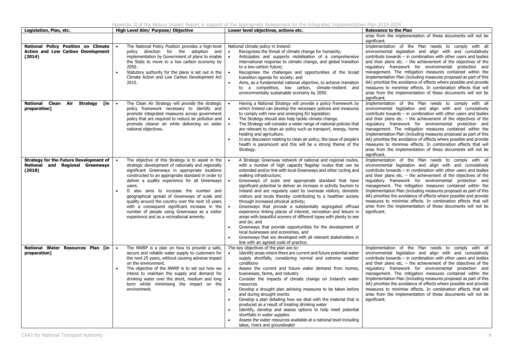|                                                                                            |                                                                                                                                                                                                                                                                                                                                                                                                                                                                                                                                                                              | Appendix II of the Natura Impact Report in support of the Appropriate Assessment for the Integrated Implementation Plan 2019-2024                                                                                                                                                                                                                                                                                                                                                                                                                                                                                                                                                                                                                                                                                                                                                                                                                                                                                                |                                                                                                                                                                                                                                                                                                                                                                                                                                                                                                                                                                                                                                                                                           |
|--------------------------------------------------------------------------------------------|------------------------------------------------------------------------------------------------------------------------------------------------------------------------------------------------------------------------------------------------------------------------------------------------------------------------------------------------------------------------------------------------------------------------------------------------------------------------------------------------------------------------------------------------------------------------------|----------------------------------------------------------------------------------------------------------------------------------------------------------------------------------------------------------------------------------------------------------------------------------------------------------------------------------------------------------------------------------------------------------------------------------------------------------------------------------------------------------------------------------------------------------------------------------------------------------------------------------------------------------------------------------------------------------------------------------------------------------------------------------------------------------------------------------------------------------------------------------------------------------------------------------------------------------------------------------------------------------------------------------|-------------------------------------------------------------------------------------------------------------------------------------------------------------------------------------------------------------------------------------------------------------------------------------------------------------------------------------------------------------------------------------------------------------------------------------------------------------------------------------------------------------------------------------------------------------------------------------------------------------------------------------------------------------------------------------------|
| Legislation, Plan, etc.                                                                    | High Level Aim/ Purpose/ Objective                                                                                                                                                                                                                                                                                                                                                                                                                                                                                                                                           | Lower level objectives, actions etc.                                                                                                                                                                                                                                                                                                                                                                                                                                                                                                                                                                                                                                                                                                                                                                                                                                                                                                                                                                                             | <b>Relevance to the Plan</b>                                                                                                                                                                                                                                                                                                                                                                                                                                                                                                                                                                                                                                                              |
|                                                                                            |                                                                                                                                                                                                                                                                                                                                                                                                                                                                                                                                                                              |                                                                                                                                                                                                                                                                                                                                                                                                                                                                                                                                                                                                                                                                                                                                                                                                                                                                                                                                                                                                                                  | arise from the implementation of these documents will not be                                                                                                                                                                                                                                                                                                                                                                                                                                                                                                                                                                                                                              |
| National Policy Position on Climate<br><b>Action and Low Carbon Development</b><br>(2014)  | The National Policy Position provides a high-level<br>policy direction for the adoption and<br>implementation by Government of plans to enable<br>the State to move to a low carbon economy by<br>2050.<br>Statutory authority for the plans is set out in the<br>Climate Action and Low Carbon Development Act<br>2015.                                                                                                                                                                                                                                                     | National climate policy in Ireland:<br>Recognises the threat of climate change for humanity;<br>$\bullet$<br>Anticipates and supports mobilisation of a comprehensive<br>$\bullet$<br>international response to climate change, and global transition<br>to a low-carbon future;<br>Recognises the challenges and opportunities of the broad<br>$\bullet$<br>transition agenda for society; and<br>Aims, as a fundamental national objective, to achieve transition<br>to a competitive, low carbon, climate-resilient and<br>environmentally sustainable economy by 2050.                                                                                                                                                                                                                                                                                                                                                                                                                                                       | significant.<br>Implementation of the Plan needs to comply with all<br>environmental legislation and align with and cumulatively<br>contribute towards - in combination with other users and bodies<br>and their plans etc. $-$ the achievement of the objectives of the<br>regulatory framework for environmental protection and<br>management. The mitigation measures contained within the<br>Implementation Plan (including measures proposed as part of this<br>AA) prioritise the avoidance of effects where possible and provide<br>measures to minimise effects. In combination effects that will<br>arise from the implementation of these documents will not be<br>significant. |
| <b>National Clean</b><br>Air Strategy<br>[in<br>preparation]                               | The Clean Air Strategy will provide the strategic<br>policy framework necessary to identify and<br>promote integrated measures across government<br>policy that are required to reduce air pollution and<br>promote cleaner air while delivering on wider<br>national objectives.                                                                                                                                                                                                                                                                                            | Having a National Strategy will provide a policy framework by<br>which Ireland can develop the necessary policies and measures<br>to comply with new and emerging EU legislation.<br>The Strategy should also help tackle climate change.<br>$\bullet$<br>The Strategy will consider a wider range of national policies that<br>are relevant to clean air policy such as transport, energy, home<br>heating and agriculture.<br>In any discussion relating to clean air policy, the issue of people's<br>health is paramount and this will be a strong theme of the<br>Strategy.                                                                                                                                                                                                                                                                                                                                                                                                                                                 | Implementation of the Plan needs to comply with all<br>environmental legislation and align with and cumulatively<br>contribute towards - in combination with other users and bodies<br>and their plans etc. $-$ the achievement of the objectives of the<br>regulatory framework for environmental protection and<br>management. The mitigation measures contained within the<br>Implementation Plan (including measures proposed as part of this<br>AA) prioritise the avoidance of effects where possible and provide<br>measures to minimise effects. In combination effects that will<br>arise from the implementation of these documents will not be<br>significant.                 |
| <b>Strategy for the Future Development of</b><br>National and Regional Greenways<br>(2018) | The objective of this Strategy is to assist in the<br>strategic development of nationally and regionally<br>significant Greenways in appropriate locations<br>constructed to an appropriate standard in order to<br>deliver a quality experience for all Greenways<br>users.<br>It also aims to increase the number and<br>geographical spread of Greenways of scale and<br>quality around the country over the next 10 years<br>with a consequent significant increase in the<br>number of people using Greenways as a visitor<br>experience and as a recreational amenity. | A Strategic Greenway network of national and regional routes,<br>with a number of high capacity flagship routes that can be<br>extended and/or link with local Greenways and other cycling and<br>walking infrastructure;<br>Greenways of scale and appropriate standard that have<br>$\bullet$<br>significant potential to deliver an increase in activity tourism to<br>Ireland and are regularly used by overseas visitors, domestic<br>visitors and locals thereby contributing to a healthier society<br>through increased physical activity;<br>Greenways that provide a substantially segregated offroad<br>$\bullet$<br>experience linking places of interest, recreation and leisure in<br>areas with beautiful scenery of different types with plenty to see<br>and do: and<br>Greenways that provide opportunities for the development of<br>$\bullet$<br>local businesses and economies, and<br>Greenways that are developed with all relevant stakeholders in<br>$\bullet$<br>line with an agreed code of practice. | Implementation of the Plan needs to comply with all<br>environmental legislation and align with and cumulatively<br>contribute towards - in combination with other users and bodies<br>and their plans etc. $-$ the achievement of the objectives of the<br>regulatory framework for environmental protection and<br>management. The mitigation measures contained within the<br>Implementation Plan (including measures proposed as part of this<br>AA) prioritise the avoidance of effects where possible and provide<br>measures to minimise effects. In combination effects that will<br>arise from the implementation of these documents will not be<br>significant.                 |
| National Water Resources Plan [in<br>preparation]                                          | The NWRP is a plan on how to provide a safe,<br>$\bullet$<br>secure and reliable water supply to customers for<br>the next 25 years, without causing adverse impact<br>on the environment.<br>The objective of the NWRP is to set out how we<br>intend to maintain the supply and demand for<br>drinking water over the short, medium and long<br>term whilst minimising the impact on the<br>environment.                                                                                                                                                                   | The key objectives of the plan are to:<br>Identify areas where there are current and future potential water<br>$\bullet$<br>supply shortfalls, considering normal and extreme weather<br>conditions<br>$\bullet$<br>Assess the current and future water demand from homes,<br>businesses, farms, and industry<br>Consider the impacts of climate change on Ireland's water<br>$\bullet$<br>resources<br>Develop a drought plan advising measures to be taken before<br>$\bullet$<br>and during drought events<br>Develop a plan detailing how we deal with the material that is<br>produced as a result of treating drinking water<br>Identify, develop and assess options to help meet potential<br>shortfalls in water supplies<br>Assess the water resources available at a national level including<br>lakes, rivers and groundwater                                                                                                                                                                                         | Implementation of the Plan needs to comply with all<br>environmental legislation and align with and cumulatively<br>contribute towards - in combination with other users and bodies<br>and their plans etc. $-$ the achievement of the objectives of the<br>regulatory framework for environmental protection and<br>management. The mitigation measures contained within the<br>Implementation Plan (including measures proposed as part of this<br>AA) prioritise the avoidance of effects where possible and provide<br>measures to minimise effects. In combination effects that will<br>arise from the implementation of these documents will not be<br>significant.                 |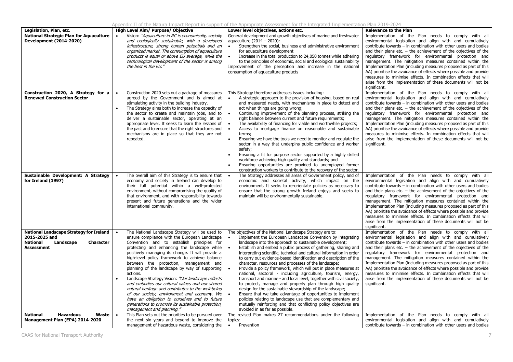|                                                                                                                                   |                                                                                                                                                                                                                                                                                                                                                                                                                                                                                                                                                                                                                                                                                                                                                                               | Appendix II of the Natura Impact Report in support of the Appropriate Assessment for the Integrated Implementation Plan 2019-2024                                                                                                                                                                                                                                                                                                                                                                                                                                                                                                                                                                                                                                                                                                                                                                                                                                                                                                  |                                                                                                                                                                                                                                                                                                                                                                                                                                                                                                                                                                                                                                                                             |
|-----------------------------------------------------------------------------------------------------------------------------------|-------------------------------------------------------------------------------------------------------------------------------------------------------------------------------------------------------------------------------------------------------------------------------------------------------------------------------------------------------------------------------------------------------------------------------------------------------------------------------------------------------------------------------------------------------------------------------------------------------------------------------------------------------------------------------------------------------------------------------------------------------------------------------|------------------------------------------------------------------------------------------------------------------------------------------------------------------------------------------------------------------------------------------------------------------------------------------------------------------------------------------------------------------------------------------------------------------------------------------------------------------------------------------------------------------------------------------------------------------------------------------------------------------------------------------------------------------------------------------------------------------------------------------------------------------------------------------------------------------------------------------------------------------------------------------------------------------------------------------------------------------------------------------------------------------------------------|-----------------------------------------------------------------------------------------------------------------------------------------------------------------------------------------------------------------------------------------------------------------------------------------------------------------------------------------------------------------------------------------------------------------------------------------------------------------------------------------------------------------------------------------------------------------------------------------------------------------------------------------------------------------------------|
| Legislation, Plan, etc.                                                                                                           | High Level Aim/ Purpose/ Objective                                                                                                                                                                                                                                                                                                                                                                                                                                                                                                                                                                                                                                                                                                                                            | Lower level objectives, actions etc.                                                                                                                                                                                                                                                                                                                                                                                                                                                                                                                                                                                                                                                                                                                                                                                                                                                                                                                                                                                               | <b>Relevance to the Plan</b>                                                                                                                                                                                                                                                                                                                                                                                                                                                                                                                                                                                                                                                |
| <b>National Strategic Plan for Aquaculture</b><br><b>Development (2014-2020)</b>                                                  | Vision: "Aquaculture in RC is economically, socially<br>$\bullet$<br>and ecologically sustainable, with a developed<br>infrastructure, strong human potentials and an<br>organized market. The consumption of aquaculture<br>products is equal or above EU average, while the<br>technological development of the sector is among<br>the best in the EU."                                                                                                                                                                                                                                                                                                                                                                                                                     | General development and growth objectives of marine and freshwater<br>aquaculture (2014 - 2020):<br>Strengthen the social, business and administrative environment<br>$\bullet$<br>for aquaculture development<br>Increase in the total production to 24,050 tonnes while adhering<br>$\bullet$<br>to the principles of economic, social and ecological sustainability<br>Improvement of the perception and increase in the national<br>consumption of aquaculture products                                                                                                                                                                                                                                                                                                                                                                                                                                                                                                                                                        | Implementation of the Plan needs to comply with all<br>environmental legislation and align with and cumulatively<br>contribute towards $-$ in combination with other users and bodies<br>and their plans etc. $-$ the achievement of the objectives of the<br>regulatory framework for environmental protection and<br>management. The mitigation measures contained within the<br>Implementation Plan (including measures proposed as part of this<br>AA) prioritise the avoidance of effects where possible and provide<br>measures to minimise effects. In combination effects that will<br>arise from the implementation of these documents will not be<br>significant. |
| Construction 2020, A Strategy for a<br><b>Renewed Construction Sector</b>                                                         | Construction 2020 sets out a package of measures<br>agreed by the Government and is aimed at<br>stimulating activity in the building industry.<br>The Strategy aims both to increase the capacity of<br>the sector to create and maintain jobs, and to<br>deliver a sustainable sector, operating at an<br>appropriate level. It seeks to learn the lessons of<br>the past and to ensure that the right structures and<br>mechanisms are in place so that they are not<br>repeated.                                                                                                                                                                                                                                                                                           | This Strategy therefore addresses issues including:<br>A strategic approach to the provision of housing, based on real<br>$\bullet$<br>and measured needs, with mechanisms in place to detect and<br>act when things are going wrong;<br>Continuing improvement of the planning process, striking the<br>right balance between current and future requirements;<br>The availability of financing for viable and worthwhile projects;<br>Access to mortgage finance on reasonable and sustainable<br>terms:<br>Ensuring we have the tools we need to monitor and regulate the<br>sector in a way that underpins public confidence and worker<br>safety:<br>Ensuring a fit for purpose sector supported by a highly skilled<br>workforce achieving high quality and standards; and<br>Ensuring opportunities are provided to unemployed former<br>construction workers to contribute to the recovery of the sector.                                                                                                                  | Implementation of the Plan needs to comply with all<br>environmental legislation and align with and cumulatively<br>contribute towards $-$ in combination with other users and bodies<br>and their plans etc. $-$ the achievement of the objectives of the<br>regulatory framework for environmental protection and<br>management. The mitigation measures contained within the<br>Implementation Plan (including measures proposed as part of this<br>AA) prioritise the avoidance of effects where possible and provide<br>measures to minimise effects. In combination effects that will<br>arise from the implementation of these documents will not be<br>significant. |
| Sustainable Development: A Strategy<br>for Ireland (1997)                                                                         | The overall aim of this Strategy is to ensure that<br>$\bullet$<br>economy and society in Ireland can develop to<br>their full potential within a well-protected<br>environment, without compromising the quality of<br>that environment, and with responsibility towards<br>present and future generations and the wider<br>international community.                                                                                                                                                                                                                                                                                                                                                                                                                         | The Strategy addresses all areas of Government policy, and of<br>economic and societal activity, which impact on the<br>environment. It seeks to re-orientate policies as necessary to<br>ensure that the strong growth Ireland enjoys and seeks to<br>maintain will be environmentally sustainable.                                                                                                                                                                                                                                                                                                                                                                                                                                                                                                                                                                                                                                                                                                                               | Implementation of the Plan needs to comply with all<br>environmental legislation and align with and cumulatively<br>contribute towards - in combination with other users and bodies<br>and their plans etc. $-$ the achievement of the objectives of the<br>regulatory framework for environmental protection and<br>management. The mitigation measures contained within the<br>Implementation Plan (including measures proposed as part of this<br>AA) prioritise the avoidance of effects where possible and provide<br>measures to minimise effects. In combination effects that will<br>arise from the implementation of these documents will not be<br>significant.   |
| <b>National Landscape Strategy for Ireland</b><br>2015-2025 and<br>National<br>Landscape<br><b>Character</b><br><b>Assessment</b> | The National Landscape Strategy will be used to<br>$\bullet$<br>ensure compliance with the European Landscape<br>Convention and to establish principles for<br>protecting and enhancing the landscape while<br>positively managing its change. It will provide a<br>high-level policy framework to achieve balance<br>between the protection, management and<br>planning of the landscape by way of supporting<br>actions.<br>Landscape Strategy Vision: "Our landscape reflects"<br>and embodies our cultural values and our shared<br>natural heritage and contributes to the well-being<br>of our society, environment and economy. We<br>have an obligation to ourselves and to future<br>generations to promote its sustainable protection,<br>management and planning." | The objectives of the National Landscape Strategy are to:<br>Implement the European Landscape Convention by integrating<br>landscape into the approach to sustainable development;<br>Establish and embed a public process of gathering, sharing and<br>interpreting scientific, technical and cultural information in order<br>to carry out evidence-based identification and description of the<br>character, resources and processes of the landscape;<br>Provide a policy framework, which will put in place measures at<br>national, sectoral - including agriculture, tourism, energy,<br>transport and marine - and local level, together with civil society,<br>to protect, manage and properly plan through high quality<br>design for the sustainable stewardship of the landscape;<br>Ensure that we take advantage of opportunities to implement<br>policies relating to landscape use that are complementary and<br>mutually reinforcing and that conflicting policy objectives are<br>avoided in as far as possible. | Implementation of the Plan needs to comply with all<br>environmental legislation and align with and cumulatively<br>contribute towards - in combination with other users and bodies<br>and their plans etc. $-$ the achievement of the objectives of the<br>regulatory framework for environmental protection and<br>management. The mitigation measures contained within the<br>Implementation Plan (including measures proposed as part of this<br>AA) prioritise the avoidance of effects where possible and provide<br>measures to minimise effects. In combination effects that will<br>arise from the implementation of these documents will not be<br>significant.   |
| <b>National</b><br><b>Hazardous</b><br>Waste<br>Management Plan (EPA) 2014-2020                                                   | This Plan sets out the priorities to be pursued over<br>the next six years and beyond to improve the                                                                                                                                                                                                                                                                                                                                                                                                                                                                                                                                                                                                                                                                          | The revised Plan makes 27 recommendations under the following<br>topics:                                                                                                                                                                                                                                                                                                                                                                                                                                                                                                                                                                                                                                                                                                                                                                                                                                                                                                                                                           | Implementation of the Plan needs to comply with all<br>environmental legislation and align with and cumulatively                                                                                                                                                                                                                                                                                                                                                                                                                                                                                                                                                            |
|                                                                                                                                   | management of hazardous waste, considering the                                                                                                                                                                                                                                                                                                                                                                                                                                                                                                                                                                                                                                                                                                                                | $\bullet$<br>Prevention                                                                                                                                                                                                                                                                                                                                                                                                                                                                                                                                                                                                                                                                                                                                                                                                                                                                                                                                                                                                            | contribute towards - in combination with other users and bodies                                                                                                                                                                                                                                                                                                                                                                                                                                                                                                                                                                                                             |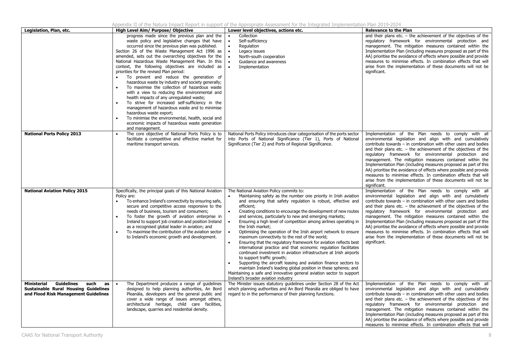| Legislation, Plan, etc.                                                                                                                      | High Level Aim/ Purpose/ Objective                                                                                                                                                                                                                                                                                                                                                                                                                                                                                                                                                                                                                                                                                                                                                                                                                                                                                        | Lower level objectives, actions etc.                                                                                                                                                                                                                                                                                                                                                                                                                                                                                                                                                                                                                                                                                                                                                                                                                                                                                                                                                                                                  | <b>Relevance to the Plan</b>                                                                                                                                                                                                                                                                                                                                                                                                                                                                                                                                                                                                                                              |
|----------------------------------------------------------------------------------------------------------------------------------------------|---------------------------------------------------------------------------------------------------------------------------------------------------------------------------------------------------------------------------------------------------------------------------------------------------------------------------------------------------------------------------------------------------------------------------------------------------------------------------------------------------------------------------------------------------------------------------------------------------------------------------------------------------------------------------------------------------------------------------------------------------------------------------------------------------------------------------------------------------------------------------------------------------------------------------|---------------------------------------------------------------------------------------------------------------------------------------------------------------------------------------------------------------------------------------------------------------------------------------------------------------------------------------------------------------------------------------------------------------------------------------------------------------------------------------------------------------------------------------------------------------------------------------------------------------------------------------------------------------------------------------------------------------------------------------------------------------------------------------------------------------------------------------------------------------------------------------------------------------------------------------------------------------------------------------------------------------------------------------|---------------------------------------------------------------------------------------------------------------------------------------------------------------------------------------------------------------------------------------------------------------------------------------------------------------------------------------------------------------------------------------------------------------------------------------------------------------------------------------------------------------------------------------------------------------------------------------------------------------------------------------------------------------------------|
|                                                                                                                                              | progress made since the previous plan and the<br>waste policy and legislative changes that have<br>occurred since the previous plan was published.<br>Section 26 of the Waste Management Act 1996 as<br>amended, sets out the overarching objectives for the<br>National Hazardous Waste Management Plan. In this<br>context, the following objectives are included as<br>priorities for the revised Plan period:<br>To prevent and reduce the generation of<br>hazardous waste by industry and society generally;<br>To maximise the collection of hazardous waste<br>with a view to reducing the environmental and<br>health impacts of any unregulated waste;<br>To strive for increased self-sufficiency in the<br>management of hazardous waste and to minimise<br>hazardous waste export;<br>To minimise the environmental, health, social and<br>economic impacts of hazardous waste generation<br>and management. | Collection<br>Self-sufficiency<br>$\bullet$<br>Regulation<br>Legacy issues<br>North-south cooperation<br>Guidance and awareness<br>Implementation                                                                                                                                                                                                                                                                                                                                                                                                                                                                                                                                                                                                                                                                                                                                                                                                                                                                                     | and their plans etc. $-$ the achievement of the objectives of the<br>regulatory framework for environmental protection and<br>management. The mitigation measures contained within the<br>Implementation Plan (including measures proposed as part of this<br>AA) prioritise the avoidance of effects where possible and provide<br>measures to minimise effects. In combination effects that will<br>arise from the implementation of these documents will not be<br>significant.                                                                                                                                                                                        |
| <b>National Ports Policy 2013</b>                                                                                                            | The core objective of National Ports Policy is to<br>facilitate a competitive and effective market for<br>maritime transport services.                                                                                                                                                                                                                                                                                                                                                                                                                                                                                                                                                                                                                                                                                                                                                                                    | National Ports Policy introduces clear categorisation of the ports sector<br>into Ports of National Significance (Tier 1), Ports of National<br>Significance (Tier 2) and Ports of Regional Significance.                                                                                                                                                                                                                                                                                                                                                                                                                                                                                                                                                                                                                                                                                                                                                                                                                             | Implementation of the Plan needs to comply with all<br>environmental legislation and align with and cumulatively<br>contribute towards - in combination with other users and bodies<br>and their plans etc. $-$ the achievement of the objectives of the<br>regulatory framework for environmental protection and<br>management. The mitigation measures contained within the<br>Implementation Plan (including measures proposed as part of this<br>AA) prioritise the avoidance of effects where possible and provide<br>measures to minimise effects. In combination effects that will<br>arise from the implementation of these documents will not be<br>significant. |
| <b>National Aviation Policy 2015</b>                                                                                                         | Specifically, the principal goals of this National Aviation<br>Policy are:<br>To enhance Ireland's connectivity by ensuring safe,<br>$\bullet$<br>secure and competitive access responsive to the<br>needs of business, tourism and consumers;<br>To foster the growth of aviation enterprise in<br>Ireland to support job creation and position Ireland<br>as a recognised global leader in aviation; and<br>To maximise the contribution of the aviation sector<br>to Ireland's economic growth and development.                                                                                                                                                                                                                                                                                                                                                                                                        | The National Aviation Policy commits to:<br>Maintaining safety as the number one priority in Irish aviation<br>and ensuring that safety regulation is robust, effective and<br>efficient;<br>Creating conditions to encourage the development of new routes<br>and services, particularly to new and emerging markets;<br>Ensuring a high level of competition among airlines operating in<br>the Irish market;<br>Optimising the operation of the Irish airport network to ensure<br>maximum connectivity to the rest of the world;<br>Ensuring that the regulatory framework for aviation reflects best<br>international practice and that economic regulation facilitates<br>continued investment in aviation infrastructure at Irish airports<br>to support traffic growth;<br>Supporting the aircraft leasing and aviation finance sectors to<br>maintain Ireland's leading global position in these spheres; and<br>Maintaining a safe and innovative general aviation sector to support<br>Ireland's broader aviation industry | Implementation of the Plan needs to comply with all<br>environmental legislation and align with and cumulatively<br>contribute towards - in combination with other users and bodies<br>and their plans etc. $-$ the achievement of the objectives of the<br>regulatory framework for environmental protection and<br>management. The mitigation measures contained within the<br>Implementation Plan (including measures proposed as part of this<br>AA) prioritise the avoidance of effects where possible and provide<br>measures to minimise effects. In combination effects that will<br>arise from the implementation of these documents will not be<br>significant. |
| <b>Guidelines</b><br><b>Ministerial</b><br>such<br>as<br><b>Sustainable Rural Housing Guidelines</b><br>and Flood Risk Management Guidelines | The Department produces a range of guidelines<br>$\bullet$<br>designed to help planning authorities, An Bord<br>Pleanála, developers and the general public and<br>cover a wide range of issues amongst others,<br>architectural heritage, child care facilities,<br>landscape, quarries and residential density.                                                                                                                                                                                                                                                                                                                                                                                                                                                                                                                                                                                                         | The Minister issues statutory guidelines under Section 28 of the Act<br>which planning authorities and An Bord Pleanála are obliged to have<br>regard to in the performance of their planning functions.                                                                                                                                                                                                                                                                                                                                                                                                                                                                                                                                                                                                                                                                                                                                                                                                                              | Implementation of the Plan needs to comply with all<br>environmental legislation and align with and cumulatively<br>contribute towards - in combination with other users and bodies<br>and their plans etc. $-$ the achievement of the objectives of the<br>regulatory framework for environmental protection and<br>management. The mitigation measures contained within the<br>Implementation Plan (including measures proposed as part of this<br>AA) prioritise the avoidance of effects where possible and provide<br>measures to minimise effects. In combination effects that will                                                                                 |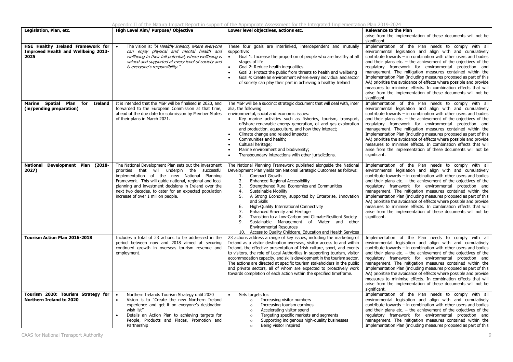|                                                                                         |                                                                                                                                                                                                                                                                                                                                                                         | יכוועוג ברטו נווכ וזמנעות בחוףמט. ולכףטו נוו אנוףטו כטו נווכ אףףוטףותנכ אSS-colling וטו נווכ בחנכקותנט בחוףוכווכוונתנטוו רומוו 2012-2024                                                                                                                                                                                                                                                                                                                                                                                                                                                                                                                                                          |                                                                                                                                                                                                                                                                                                                                                                                                                                                                                                                                                                                                                                                                             |
|-----------------------------------------------------------------------------------------|-------------------------------------------------------------------------------------------------------------------------------------------------------------------------------------------------------------------------------------------------------------------------------------------------------------------------------------------------------------------------|---------------------------------------------------------------------------------------------------------------------------------------------------------------------------------------------------------------------------------------------------------------------------------------------------------------------------------------------------------------------------------------------------------------------------------------------------------------------------------------------------------------------------------------------------------------------------------------------------------------------------------------------------------------------------------------------------|-----------------------------------------------------------------------------------------------------------------------------------------------------------------------------------------------------------------------------------------------------------------------------------------------------------------------------------------------------------------------------------------------------------------------------------------------------------------------------------------------------------------------------------------------------------------------------------------------------------------------------------------------------------------------------|
| Legislation, Plan, etc.                                                                 | High Level Aim/ Purpose/ Objective                                                                                                                                                                                                                                                                                                                                      | Lower level objectives, actions etc.                                                                                                                                                                                                                                                                                                                                                                                                                                                                                                                                                                                                                                                              | <b>Relevance to the Plan</b>                                                                                                                                                                                                                                                                                                                                                                                                                                                                                                                                                                                                                                                |
|                                                                                         |                                                                                                                                                                                                                                                                                                                                                                         |                                                                                                                                                                                                                                                                                                                                                                                                                                                                                                                                                                                                                                                                                                   | arise from the implementation of these documents will not be<br>significant.                                                                                                                                                                                                                                                                                                                                                                                                                                                                                                                                                                                                |
| HSE Healthy Ireland Framework for<br><b>Improved Health and Wellbeing 2013-</b><br>2025 | The vision is: "A Healthy Ireland, where everyone<br>can enjoy physical and mental health and<br>wellbeing to their full potential, where wellbeing is<br>valued and supported at every level of society and<br>is everyone's responsibility."                                                                                                                          | These four goals are interlinked, interdependent and mutually<br>supportive:<br>$\bullet$<br>Goal 1: Increase the proportion of people who are healthy at all<br>stages of life<br>Goal 2: Reduce health inequalities<br>Goal 3: Protect the public from threats to health and wellbeing<br>$\bullet$<br>Goal 4: Create an environment where every individual and sector<br>$\bullet$<br>of society can play their part in achieving a healthy Ireland                                                                                                                                                                                                                                            | Implementation of the Plan needs to comply with all<br>environmental legislation and align with and cumulatively<br>contribute towards $-$ in combination with other users and bodies<br>and their plans etc. $-$ the achievement of the objectives of the<br>regulatory framework for environmental protection and<br>management. The mitigation measures contained within the<br>Implementation Plan (including measures proposed as part of this<br>AA) prioritise the avoidance of effects where possible and provide<br>measures to minimise effects. In combination effects that will<br>arise from the implementation of these documents will not be<br>significant. |
| Marine Spatial Plan for<br><b>Ireland</b><br>(in/pending preparation)                   | It is intended that the MSP will be finalised in 2020, and<br>forwarded to the European Commission at that time,<br>ahead of the due date for submission by Member States<br>of their plans in March 2021.                                                                                                                                                              | The MSP will be a succinct strategic document that will deal with, inter<br>alia, the following<br>environmental, social and economic issues:<br>Key marine activities such as fisheries, tourism, transport,<br>offshore renewable energy generation, oil and gas exploration<br>and production, aquaculture, and how they interact;<br>Climate change and related impacts;<br>Communities and health;<br>$\bullet$<br>Cultural heritage;<br>$\bullet$<br>Marine environment and biodiversity;<br>$\bullet$<br>Transboundary interactions with other jurisdictions.                                                                                                                              | Implementation of the Plan needs to comply with all<br>environmental legislation and align with and cumulatively<br>contribute towards - in combination with other users and bodies<br>and their plans etc. $-$ the achievement of the objectives of the<br>regulatory framework for environmental protection and<br>management. The mitigation measures contained within the<br>Implementation Plan (including measures proposed as part of this<br>AA) prioritise the avoidance of effects where possible and provide<br>measures to minimise effects. In combination effects that will<br>arise from the implementation of these documents will not be<br>significant.   |
| Development Plan (2018-<br>National<br>2027)                                            | The National Development Plan sets out the investment<br>priorities that will underpin the successful<br>implementation of the new National Planning<br>Framework. This will guide national, regional and local<br>planning and investment decisions in Ireland over the<br>next two decades, to cater for an expected population<br>increase of over 1 million people. | The National Planning Framework published alongside the National<br>Development Plan yields ten National Strategic Outcomes as follows:<br>Compact Growth<br>1.<br>2.<br><b>Enhanced Regional Accessibility</b><br>Strengthened Rural Economies and Communities<br>3.<br>4.<br>Sustainable Mobility<br>5.<br>A Strong Economy, supported by Enterprise, Innovation<br>and Skills<br>High-Quality International Connectivity<br>6.<br>Enhanced Amenity and Heritage<br>7.<br>Transition to a Low-Carbon and Climate-Resilient Society<br>8.<br>9.<br>Sustainable Management of Water and other<br><b>Environmental Resources</b><br>10. Access to Quality Childcare, Education and Health Services | Implementation of the Plan needs to comply with all<br>environmental legislation and align with and cumulatively<br>contribute towards - in combination with other users and bodies<br>and their plans etc. $-$ the achievement of the objectives of the<br>regulatory framework for environmental protection and<br>management. The mitigation measures contained within the<br>Implementation Plan (including measures proposed as part of this<br>AA) prioritise the avoidance of effects where possible and provide<br>measures to minimise effects. In combination effects that will<br>arise from the implementation of these documents will not be<br>significant.   |
| <b>Tourism Action Plan 2016-2018</b>                                                    | Includes a total of 23 actions to be addressed in the<br>period between now and 2018 aimed at securing<br>continued growth in overseas tourism revenue and<br>employment.                                                                                                                                                                                               | 23 actions address a range of key issues, including the marketing of<br>Ireland as a visitor destination overseas, visitor access to and within<br>Ireland, the effective presentation of Irish culture, sport, and events<br>to visitors, the role of Local Authorities in supporting tourism, visitor<br>accommodation capacity, and skills development in the tourism sector.<br>The actions are directed at specific tourism stakeholders in the public<br>and private sectors, all of whom are expected to proactively work<br>towards completion of each action within the specified timeframe.                                                                                             | Implementation of the Plan needs to comply with all<br>environmental legislation and align with and cumulatively<br>contribute towards $-$ in combination with other users and bodies<br>and their plans etc. $-$ the achievement of the objectives of the<br>regulatory framework for environmental protection and<br>management. The mitigation measures contained within the<br>Implementation Plan (including measures proposed as part of this<br>AA) prioritise the avoidance of effects where possible and provide<br>measures to minimise effects. In combination effects that will<br>arise from the implementation of these documents will not be<br>significant. |
| Tourism 2020: Tourism Strategy for<br><b>Northern Ireland to 2020</b>                   | Northern Irelands Tourism Strategy until 2020<br>Vision is to "Create the new Northern Ireland<br>experience and get it on everyone's destination<br>wish list"<br>Details an Action Plan to achieving targets for<br>People, Products and Places, Promotion and<br>Partnership                                                                                         | Sets targets for:<br>Increasing visitor numbers<br>$\circ$<br>Increasing tourism earnings<br>$\circ$<br>Accelerating visitor spend<br>$\circ$<br>Targeting specific markets and segments<br>$\circ$<br>Supporting indigenous high-quality businesses<br>$\circ$<br>Being visitor inspired<br>$\circ$                                                                                                                                                                                                                                                                                                                                                                                              | Implementation of the Plan needs to comply with all<br>environmental legislation and align with and cumulatively<br>contribute towards $-$ in combination with other users and bodies<br>and their plans etc. $-$ the achievement of the objectives of the<br>regulatory framework for environmental protection and<br>management. The mitigation measures contained within the<br>Implementation Plan (including measures proposed as part of this                                                                                                                                                                                                                         |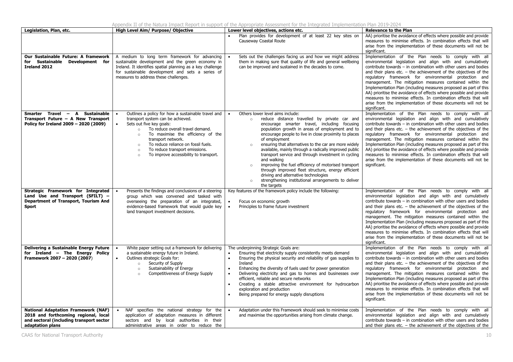|  |  |  |  | Appendix II of the Natura Impact Report in support of the Appropriate Assessment for the Integrated Implementation Plan 2019-2024 |  |  |  |
|--|--|--|--|-----------------------------------------------------------------------------------------------------------------------------------|--|--|--|
|  |  |  |  |                                                                                                                                   |  |  |  |

| Legislation, Plan, etc.                                                                                                                            | High Level Aim/ Purpose/ Objective                                                                                                                                                                                                                                                                                                                                                                                     | Lower level objectives, actions etc.                                                                                                                                                                                                                                                                                                                                                                                                                                                                                                                                                                                                                                                                                                       | <b>Relevance to the Plan</b>                                                                                                                                                                                                                                                                                                                                                                                                                                                                                                                                                                                                                                                |
|----------------------------------------------------------------------------------------------------------------------------------------------------|------------------------------------------------------------------------------------------------------------------------------------------------------------------------------------------------------------------------------------------------------------------------------------------------------------------------------------------------------------------------------------------------------------------------|--------------------------------------------------------------------------------------------------------------------------------------------------------------------------------------------------------------------------------------------------------------------------------------------------------------------------------------------------------------------------------------------------------------------------------------------------------------------------------------------------------------------------------------------------------------------------------------------------------------------------------------------------------------------------------------------------------------------------------------------|-----------------------------------------------------------------------------------------------------------------------------------------------------------------------------------------------------------------------------------------------------------------------------------------------------------------------------------------------------------------------------------------------------------------------------------------------------------------------------------------------------------------------------------------------------------------------------------------------------------------------------------------------------------------------------|
|                                                                                                                                                    |                                                                                                                                                                                                                                                                                                                                                                                                                        | Plan provides for development of at least 22 key sites on<br>Causeway Coastal Route                                                                                                                                                                                                                                                                                                                                                                                                                                                                                                                                                                                                                                                        | AA) prioritise the avoidance of effects where possible and provide<br>measures to minimise effects. In combination effects that will<br>arise from the implementation of these documents will not be<br>significant.                                                                                                                                                                                                                                                                                                                                                                                                                                                        |
| Our Sustainable Future: A framework<br>for Sustainable Development for<br><b>Ireland 2012</b>                                                      | A medium to long term framework for advancing<br>sustainable development and the green economy in<br>Ireland. It identifies spatial planning as a key challenge<br>for sustainable development and sets a series of<br>measures to address these challenges.                                                                                                                                                           | Sets out the challenges facing us and how we might address<br>them in making sure that quality of life and general wellbeing<br>can be improved and sustained in the decades to come.                                                                                                                                                                                                                                                                                                                                                                                                                                                                                                                                                      | Implementation of the Plan needs to comply with all<br>environmental legislation and align with and cumulatively<br>contribute towards - in combination with other users and bodies<br>and their plans etc. $-$ the achievement of the objectives of the<br>regulatory framework for environmental protection and<br>management. The mitigation measures contained within the<br>Implementation Plan (including measures proposed as part of this<br>AA) prioritise the avoidance of effects where possible and provide<br>measures to minimise effects. In combination effects that will<br>arise from the implementation of these documents will not be<br>significant.   |
| Smarter Travel - A Sustainable<br>Transport Future - A New Transport<br>Policy for Ireland 2009 - 2020 (2009)                                      | Outlines a policy for how a sustainable travel and<br>$\bullet$<br>transport system can be achieved.<br>Sets out five key goals:<br>$\bullet$<br>To reduce overall travel demand.<br>$\circ$<br>To maximise the efficiency of the<br>$\circ$<br>transport network.<br>To reduce reliance on fossil fuels.<br>$\circ$<br>To reduce transport emissions.<br>$\circ$<br>To improve accessibility to transport.<br>$\circ$ | Others lower level aims include:<br>$\bullet$<br>reduce distance travelled by private car and<br>$\circ$<br>encourage smarter travel, including focusing<br>population growth in areas of employment and to<br>encourage people to live in close proximity to places<br>of employment<br>ensuring that alternatives to the car are more widely<br>$\circ$<br>available, mainly through a radically improved public<br>transport service and through investment in cycling<br>and walking<br>improving the fuel efficiency of motorised transport<br>$\circ$<br>through improved fleet structure, energy efficient<br>driving and alternative technologies<br>strengthening institutional arrangements to deliver<br>$\circ$<br>the targets | Implementation of the Plan needs to comply with all<br>environmental legislation and align with and cumulatively<br>contribute towards - in combination with other users and bodies<br>and their plans etc. $-$ the achievement of the objectives of the<br>regulatory framework for environmental protection and<br>management. The mitigation measures contained within the<br>Implementation Plan (including measures proposed as part of this<br>AA) prioritise the avoidance of effects where possible and provide<br>measures to minimise effects. In combination effects that will<br>arise from the implementation of these documents will not be<br>significant.   |
| Strategic Framework for Integrated<br>Land Use and Transport (SFILT) -<br>Department of Transport, Tourism And<br><b>Sport</b>                     | Presents the findings and conclusions of a steering<br>group which was convened and tasked with<br>overseeing the preparation of an integrated,<br>evidence-based framework that would guide key<br>land transport investment decisions.                                                                                                                                                                               | Key features of the framework policy include the following:<br>Focus on economic growth<br>Principles to frame future investment<br>$\bullet$                                                                                                                                                                                                                                                                                                                                                                                                                                                                                                                                                                                              | Implementation of the Plan needs to comply with all<br>environmental legislation and align with and cumulatively<br>contribute towards $-$ in combination with other users and bodies<br>and their plans etc. $-$ the achievement of the objectives of the<br>regulatory framework for environmental protection and<br>management. The mitigation measures contained within the<br>Implementation Plan (including measures proposed as part of this<br>AA) prioritise the avoidance of effects where possible and provide<br>measures to minimise effects. In combination effects that will<br>arise from the implementation of these documents will not be<br>significant. |
| Delivering a Sustainable Energy Future<br>for Ireland - The Energy Policy<br>Framework 2007 - 2020 (2007)                                          | White paper setting out a framework for delivering<br>a sustainable energy future in Ireland.<br>Outlines strategic Goals for:<br>Security of Supply<br>$\circ$<br>Sustainability of Energy<br>$\circ$<br>Competitiveness of Energy Supply<br>$\circ$                                                                                                                                                                  | The underpinning Strategic Goals are:<br>Ensuring that electricity supply consistently meets demand<br>Ensuring the physical security and reliability of gas supplies to<br>$\bullet$<br>Ireland<br>Enhancing the diversity of fuels used for power generation<br>$\bullet$<br>Delivering electricity and gas to homes and businesses over<br>$\bullet$<br>efficient, reliable and secure networks<br>Creating a stable attractive environment for hydrocarbon<br>$\bullet$<br>exploration and production<br>Being prepared for energy supply disruptions                                                                                                                                                                                  | Implementation of the Plan needs to comply with all<br>environmental legislation and align with and cumulatively<br>contribute towards - in combination with other users and bodies<br>and their plans etc. $-$ the achievement of the objectives of the<br>regulatory framework for environmental protection and<br>management. The mitigation measures contained within the<br>Implementation Plan (including measures proposed as part of this<br>AA) prioritise the avoidance of effects where possible and provide<br>measures to minimise effects. In combination effects that will<br>arise from the implementation of these documents will not be<br>significant.   |
| <b>National Adaptation Framework (NAF)</b><br>2018 and forthcoming regional, local<br>and sectoral (including transport sector<br>adaptation plans | NAF specifies the national strategy for the<br>$\bullet$<br>application of adaptation measures in different<br>sectors and by local authorities in their<br>administrative areas in order to reduce the                                                                                                                                                                                                                | Adaptation under this Framework should seek to minimise costs<br>$\bullet$<br>and maximise the opportunities arising from climate change.                                                                                                                                                                                                                                                                                                                                                                                                                                                                                                                                                                                                  | Implementation of the Plan needs to comply with all<br>environmental legislation and align with and cumulatively<br>contribute towards $-$ in combination with other users and bodies<br>and their plans etc. $-$ the achievement of the objectives of the                                                                                                                                                                                                                                                                                                                                                                                                                  |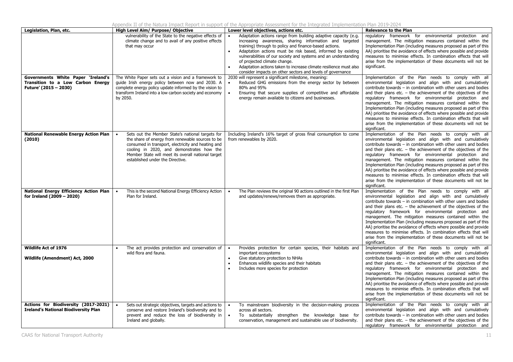|                                                                                                  |                                                                                                                                                                                                                                                                                                                | Appendix II of the Natura Impact Report in support of the Appropriate Assessment for the Integrated Implementation Plan 2019-2024                                                                                                                                                                                                                                                                                                                                                                    |                                                                                                                                                                                                                                                                                                                                                                                                                                                                                                                                                                                                                                                                             |
|--------------------------------------------------------------------------------------------------|----------------------------------------------------------------------------------------------------------------------------------------------------------------------------------------------------------------------------------------------------------------------------------------------------------------|------------------------------------------------------------------------------------------------------------------------------------------------------------------------------------------------------------------------------------------------------------------------------------------------------------------------------------------------------------------------------------------------------------------------------------------------------------------------------------------------------|-----------------------------------------------------------------------------------------------------------------------------------------------------------------------------------------------------------------------------------------------------------------------------------------------------------------------------------------------------------------------------------------------------------------------------------------------------------------------------------------------------------------------------------------------------------------------------------------------------------------------------------------------------------------------------|
| Legislation, Plan, etc.                                                                          | High Level Aim/ Purpose/ Objective                                                                                                                                                                                                                                                                             | Lower level objectives, actions etc.                                                                                                                                                                                                                                                                                                                                                                                                                                                                 | <b>Relevance to the Plan</b><br>regulatory framework for environmental protection and                                                                                                                                                                                                                                                                                                                                                                                                                                                                                                                                                                                       |
|                                                                                                  | vulnerability of the State to the negative effects of<br>climate change and to avail of any positive effects<br>that may occur                                                                                                                                                                                 | Adaptation actions range from building adaptive capacity (e.g.<br>increasing awareness, sharing information and targeted<br>training) through to policy and finance-based actions.<br>Adaptation actions must be risk based, informed by existing<br>vulnerabilities of our society and systems and an understanding<br>of projected climate change.<br>Adaptation actions taken to increase climate resilience must also<br>$\bullet$<br>consider impacts on other sectors and levels of governance | management. The mitigation measures contained within the<br>Implementation Plan (including measures proposed as part of this<br>AA) prioritise the avoidance of effects where possible and provide<br>measures to minimise effects. In combination effects that will<br>arise from the implementation of these documents will not be<br>significant.                                                                                                                                                                                                                                                                                                                        |
| Governments White Paper 'Ireland's<br>Transition to a Low Carbon Energy<br>Future' (2015 - 2030) | The White Paper sets out a vision and a framework to<br>guide Irish energy policy between now and 2030. A<br>complete energy policy update informed by the vision to<br>transform Ireland into a low carbon society and economy<br>by 2050.                                                                    | 2030 will represent a significant milestone, meaning:<br>Reduced GHG emissions from the energy sector by between<br>80% and 95%<br>Ensuring that secure supplies of competitive and affordable<br>$\bullet$<br>energy remain available to citizens and businesses.                                                                                                                                                                                                                                   | Implementation of the Plan needs to comply with all<br>environmental legislation and align with and cumulatively<br>contribute towards - in combination with other users and bodies<br>and their plans etc. $-$ the achievement of the objectives of the<br>regulatory framework for environmental protection and<br>management. The mitigation measures contained within the<br>Implementation Plan (including measures proposed as part of this<br>AA) prioritise the avoidance of effects where possible and provide<br>measures to minimise effects. In combination effects that will<br>arise from the implementation of these documents will not be<br>significant.   |
| <b>National Renewable Energy Action Plan</b><br>(2010)                                           | Sets out the Member State's national targets for<br>$\bullet$<br>the share of energy from renewable sources to be<br>consumed in transport, electricity and heating and<br>cooling in 2020, and demonstrates how the<br>Member State will meet its overall national target<br>established under the Directive. | Including Ireland's 16% target of gross final consumption to come<br>from renewables by 2020.                                                                                                                                                                                                                                                                                                                                                                                                        | Implementation of the Plan needs to comply with all<br>environmental legislation and align with and cumulatively<br>contribute towards - in combination with other users and bodies<br>and their plans etc. $-$ the achievement of the objectives of the<br>regulatory framework for environmental protection and<br>management. The mitigation measures contained within the<br>Implementation Plan (including measures proposed as part of this<br>AA) prioritise the avoidance of effects where possible and provide<br>measures to minimise effects. In combination effects that will<br>arise from the implementation of these documents will not be<br>significant.   |
| National Energy Efficiency Action Plan<br>for Ireland (2009 - 2020)                              | This is the second National Energy Efficiency Action<br>$\bullet$<br>Plan for Ireland.                                                                                                                                                                                                                         | The Plan reviews the original 90 actions outlined in the first Plan<br>$\bullet$<br>and updates/renews/removes them as appropriate.                                                                                                                                                                                                                                                                                                                                                                  | Implementation of the Plan needs to comply with all<br>environmental legislation and align with and cumulatively<br>contribute towards - in combination with other users and bodies<br>and their plans etc. $-$ the achievement of the objectives of the<br>regulatory framework for environmental protection and<br>management. The mitigation measures contained within the<br>Implementation Plan (including measures proposed as part of this<br>AA) prioritise the avoidance of effects where possible and provide<br>measures to minimise effects. In combination effects that will<br>arise from the implementation of these documents will not be<br>significant.   |
| Wildlife Act of 1976<br>Wildlife (Amendment) Act, 2000                                           | The act provides protection and conservation of<br>wild flora and fauna.                                                                                                                                                                                                                                       | Provides protection for certain species, their habitats and<br>$\bullet$<br>important ecosystems<br>Give statutory protection to NHAs<br>$\bullet$<br>Enhances wildlife species and their habitats<br>Includes more species for protection                                                                                                                                                                                                                                                           | Implementation of the Plan needs to comply with all<br>environmental legislation and align with and cumulatively<br>contribute towards $-$ in combination with other users and bodies<br>and their plans etc. $-$ the achievement of the objectives of the<br>regulatory framework for environmental protection and<br>management. The mitigation measures contained within the<br>Implementation Plan (including measures proposed as part of this<br>AA) prioritise the avoidance of effects where possible and provide<br>measures to minimise effects. In combination effects that will<br>arise from the implementation of these documents will not be<br>significant. |
| Actions for Biodiversity (2017-2021)<br><b>Ireland's National Biodiversity Plan</b>              | Sets out strategic objectives, targets and actions to<br>conserve and restore Ireland's biodiversity and to<br>prevent and reduce the loss of biodiversity in<br>Ireland and globally.                                                                                                                         | To mainstream biodiversity in the decision-making process<br>$\bullet$<br>across all sectors.<br>To substantially strengthen the knowledge base for<br>$\bullet$<br>conservation, management and sustainable use of biodiversity.                                                                                                                                                                                                                                                                    | Implementation of the Plan needs to comply with all<br>environmental legislation and align with and cumulatively<br>contribute towards - in combination with other users and bodies<br>and their plans etc. $-$ the achievement of the objectives of the<br>regulatory framework for environmental protection and                                                                                                                                                                                                                                                                                                                                                           |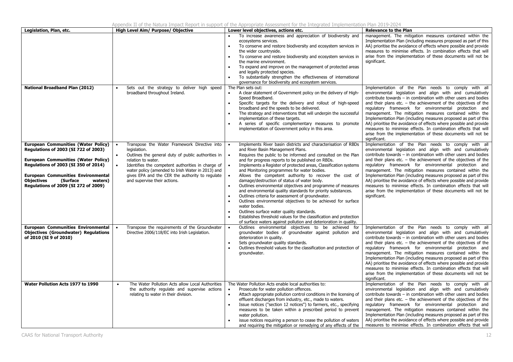| Legislation, Plan, etc.                                                                                                                                                                                                                                                                                   | High Level Aim/ Purpose/ Objective                                                                                                                                                                                                                                                                                                    | Lower level objectives, actions etc.                                                                                                                                                                                                                                                                                                                                                                                                                                                                                                                                                                                                                                                                                                                                                                                                                                                                                                                  | <b>Relevance to the Plan</b>                                                                                                                                                                                                                                                                                                                                                                                                                                                                                                                                                                                                                                                |  |  |
|-----------------------------------------------------------------------------------------------------------------------------------------------------------------------------------------------------------------------------------------------------------------------------------------------------------|---------------------------------------------------------------------------------------------------------------------------------------------------------------------------------------------------------------------------------------------------------------------------------------------------------------------------------------|-------------------------------------------------------------------------------------------------------------------------------------------------------------------------------------------------------------------------------------------------------------------------------------------------------------------------------------------------------------------------------------------------------------------------------------------------------------------------------------------------------------------------------------------------------------------------------------------------------------------------------------------------------------------------------------------------------------------------------------------------------------------------------------------------------------------------------------------------------------------------------------------------------------------------------------------------------|-----------------------------------------------------------------------------------------------------------------------------------------------------------------------------------------------------------------------------------------------------------------------------------------------------------------------------------------------------------------------------------------------------------------------------------------------------------------------------------------------------------------------------------------------------------------------------------------------------------------------------------------------------------------------------|--|--|
|                                                                                                                                                                                                                                                                                                           |                                                                                                                                                                                                                                                                                                                                       | To increase awareness and appreciation of biodiversity and<br>ecosystems services.<br>To conserve and restore biodiversity and ecosystem services in<br>the wider countryside.<br>To conserve and restore biodiversity and ecosystem services in<br>$\bullet$<br>the marine environment.<br>To expand and improve on the management of protected areas<br>and legally protected species.<br>To substantially strengthen the effectiveness of international<br>governance for biodiversity and ecosystem services.                                                                                                                                                                                                                                                                                                                                                                                                                                     | management. The mitigation measures contained within the<br>Implementation Plan (including measures proposed as part of this<br>AA) prioritise the avoidance of effects where possible and provide<br>measures to minimise effects. In combination effects that will<br>arise from the implementation of these documents will not be<br>significant.                                                                                                                                                                                                                                                                                                                        |  |  |
| <b>National Broadband Plan (2012)</b>                                                                                                                                                                                                                                                                     | Sets out the strategy to deliver high speed<br>broadband throughout Ireland.                                                                                                                                                                                                                                                          | The Plan sets out:<br>A clear statement of Government policy on the delivery of High-<br>$\bullet$<br>Speed Broadband.<br>Specific targets for the delivery and rollout of high-speed<br>$\bullet$<br>broadband and the speeds to be delivered.<br>The strategy and interventions that will underpin the successful<br>implementation of these targets.<br>A series of specific complementary measures to promote<br>implementation of Government policy in this area.                                                                                                                                                                                                                                                                                                                                                                                                                                                                                | Implementation of the Plan needs to comply with all<br>environmental legislation and align with and cumulatively<br>contribute towards - in combination with other users and bodies<br>and their plans etc. $-$ the achievement of the objectives of the<br>regulatory framework for environmental protection and<br>management. The mitigation measures contained within the<br>Implementation Plan (including measures proposed as part of this<br>AA) prioritise the avoidance of effects where possible and provide<br>measures to minimise effects. In combination effects that will<br>arise from the implementation of these documents will not be<br>significant.   |  |  |
| <b>European Communities (Water Policy)</b><br>Regulations of 2003 (SI 722 of 2003)<br><b>European Communities (Water Policy)</b><br>Regulations of 2003 (SI 350 of 2014)<br><b>European Communities Environmental</b><br><b>Objectives</b><br>(Surface<br>waters)<br>Regulations of 2009 (SI 272 of 2009) | Transpose the Water Framework Directive into<br>legislation.<br>Outlines the general duty of public authorities in<br>relation to water.<br>Identifies the competent authorities in charge of<br>water policy (amended to Irish Water in 2013) and<br>gives EPA and the CER the authority to regulate<br>and supervise their actions. | Implements River basin districts and characterisation of RBDs<br>and River Basin Management Plans.<br>Requires the public to be informed and consulted on the Plan<br>and for progress reports to be published on RBDs.<br>Implements a Register of protected areas, Classification systems<br>and Monitoring programmes for water bodies.<br>Allows the competent authority to recover the cost of<br>damage/destruction of status of water body.<br>Outlines environmental objectives and programme of measures<br>$\bullet$<br>and environmental quality standards for priority substances.<br>Outlines criteria for assessment of groundwater.<br>Outlines environmental objectives to be achieved for surface<br>$\bullet$<br>water bodies.<br>Outlines surface water quality standards.<br>Establishes threshold values for the classification and protection<br>$\bullet$<br>of surface waters against pollution and deterioration in quality. | Implementation of the Plan needs to comply with all<br>environmental legislation and align with and cumulatively<br>contribute towards - in combination with other users and bodies<br>and their plans etc. $-$ the achievement of the objectives of the<br>regulatory framework for environmental protection and<br>management. The mitigation measures contained within the<br>Implementation Plan (including measures proposed as part of this<br>AA) prioritise the avoidance of effects where possible and provide<br>measures to minimise effects. In combination effects that will<br>arise from the implementation of these documents will not be<br>significant.   |  |  |
| <b>European Communities Environmental</b><br><b>Objectives (Groundwater) Regulations</b><br>of 2010 (SI 9 of 2010)                                                                                                                                                                                        | Transpose the requirements of the Groundwater<br>Directive 2006/118/EC into Irish Legislation.                                                                                                                                                                                                                                        | Outlines environmental objectives to be achieved for<br>groundwater bodies of groundwater against pollution and<br>deterioration in quality.<br>Sets groundwater quality standards.<br>$\bullet$<br>Outlines threshold values for the classification and protection of<br>$\bullet$<br>groundwater.                                                                                                                                                                                                                                                                                                                                                                                                                                                                                                                                                                                                                                                   | Implementation of the Plan needs to comply with all<br>environmental legislation and align with and cumulatively<br>contribute towards $-$ in combination with other users and bodies<br>and their plans etc. $-$ the achievement of the objectives of the<br>regulatory framework for environmental protection and<br>management. The mitigation measures contained within the<br>Implementation Plan (including measures proposed as part of this<br>AA) prioritise the avoidance of effects where possible and provide<br>measures to minimise effects. In combination effects that will<br>arise from the implementation of these documents will not be<br>sianificant. |  |  |
| Water Pollution Acts 1977 to 1990                                                                                                                                                                                                                                                                         | The Water Pollution Acts allow Local Authorities<br>$\bullet$<br>the authority regulate and supervise actions<br>relating to water in their division.                                                                                                                                                                                 | The Water Pollution Acts enable local authorities to:<br>Prosecute for water pollution offences.<br>Attach appropriate pollution control conditions in the licensing of<br>$\bullet$<br>effluent discharges from industry, etc., made to waters.<br>Issue notices ("section 12 notices") to farmers, etc., specifying<br>measures to be taken within a prescribed period to prevent<br>water pollution.<br>issue notices requiring a person to cease the pollution of waters<br>and requiring the mitigation or remedying of any effects of the                                                                                                                                                                                                                                                                                                                                                                                                       | Implementation of the Plan needs to comply with all<br>environmental legislation and align with and cumulatively<br>contribute towards - in combination with other users and bodies<br>and their plans etc. $-$ the achievement of the objectives of the<br>regulatory framework for environmental protection and<br>management. The mitigation measures contained within the<br>Implementation Plan (including measures proposed as part of this<br>AA) prioritise the avoidance of effects where possible and provide<br>measures to minimise effects. In combination effects that will                                                                                   |  |  |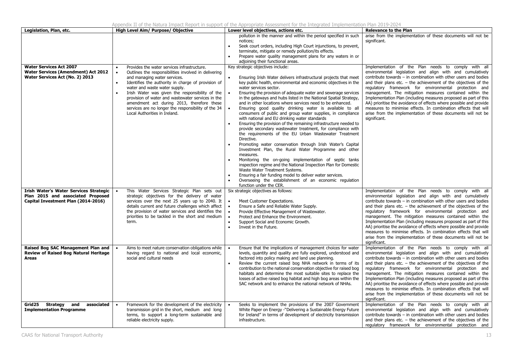| Legislation, Plan, etc.                                                                                            | High Level Aim/ Purpose/ Objective                                                                                                                                                                                                                                                                                                                                                                                                                                                                              | Lower level objectives, actions etc.                                                                                                                                                                                                                                                                                                                                                                                                                                                                                                                                                                                                                                                                                                                                                                                                                                                                                                                                                                                                                                                                                                                             | <b>Relevance to the Plan</b>                                                                                                                                                                                                                                                                                                                                                                                                                                                                                                                                                                                                                                                                                                                                |  |  |
|--------------------------------------------------------------------------------------------------------------------|-----------------------------------------------------------------------------------------------------------------------------------------------------------------------------------------------------------------------------------------------------------------------------------------------------------------------------------------------------------------------------------------------------------------------------------------------------------------------------------------------------------------|------------------------------------------------------------------------------------------------------------------------------------------------------------------------------------------------------------------------------------------------------------------------------------------------------------------------------------------------------------------------------------------------------------------------------------------------------------------------------------------------------------------------------------------------------------------------------------------------------------------------------------------------------------------------------------------------------------------------------------------------------------------------------------------------------------------------------------------------------------------------------------------------------------------------------------------------------------------------------------------------------------------------------------------------------------------------------------------------------------------------------------------------------------------|-------------------------------------------------------------------------------------------------------------------------------------------------------------------------------------------------------------------------------------------------------------------------------------------------------------------------------------------------------------------------------------------------------------------------------------------------------------------------------------------------------------------------------------------------------------------------------------------------------------------------------------------------------------------------------------------------------------------------------------------------------------|--|--|
| <b>Water Services Act 2007</b><br><b>Water Services (Amendment) Act 2012</b><br>Water Services Act (No. 2) 2013    | Provides the water services infrastructure.<br>$\bullet$<br>Outlines the responsibilities involved in delivering<br>and managing water services.<br>Identifies the authority in charge of provision of<br>$\bullet$<br>water and waste water supply.<br>Irish Water was given the responsibility of the<br>$\bullet$<br>provision of water and wastewater services in the<br>amendment act during 2013, therefore these<br>services are no longer the responsibility of the 34<br>Local Authorities in Ireland. | pollution in the manner and within the period specified in such<br>notices:<br>Seek court orders, including High Court injunctions, to prevent,<br>$\bullet$<br>terminate, mitigate or remedy pollution/its effects.<br>Prepare water quality management plans for any waters in or<br>$\bullet$<br>adjoining their functional areas.<br>Key strategic objectives include:<br>Ensuring Irish Water delivers infrastructural projects that meet<br>$\bullet$<br>key public health, environmental and economic objectives in the<br>water services sector.<br>Ensuring the provision of adequate water and sewerage services<br>in the gateways and hubs listed in the National Spatial Strategy,<br>and in other locations where services need to be enhanced.<br>Ensuring good quality drinking water is available to all<br>consumers of public and group water supplies, in compliance<br>with national and EU drinking water standards<br>Ensuring the provision of the remaining infrastructure needed to<br>$\bullet$<br>provide secondary wastewater treatment, for compliance with<br>the requirements of the EU Urban Wastewater Treatment<br>Directive. | arise from the implementation of these documents will not be<br>significant.<br>Implementation of the Plan needs to comply with all<br>environmental legislation and align with and cumulatively<br>contribute towards $-$ in combination with other users and bodies<br>and their plans etc. $-$ the achievement of the objectives of the<br>regulatory framework for environmental protection and<br>management. The mitigation measures contained within the<br>Implementation Plan (including measures proposed as part of this<br>AA) prioritise the avoidance of effects where possible and provide<br>measures to minimise effects. In combination effects that will<br>arise from the implementation of these documents will not be<br>significant. |  |  |
|                                                                                                                    |                                                                                                                                                                                                                                                                                                                                                                                                                                                                                                                 | Promoting water conservation through Irish Water's Capital<br>Investment Plan, the Rural Water Programme and other<br>measures.<br>Monitoring the on-going implementation of septic tanks<br>inspection regime and the National Inspection Plan for Domestic<br>Waste Water Treatment Systems.<br>Ensuring a fair funding model to deliver water services.<br>$\bullet$<br>Overseeing the establishment of an economic regulation<br>$\bullet$<br>function under the CER.                                                                                                                                                                                                                                                                                                                                                                                                                                                                                                                                                                                                                                                                                        |                                                                                                                                                                                                                                                                                                                                                                                                                                                                                                                                                                                                                                                                                                                                                             |  |  |
| Irish Water's Water Services Strategic<br>Plan 2015 and associated Proposed<br>Capital Investment Plan (2014-2016) | This Water Services Strategic Plan sets out<br>strategic objectives for the delivery of water<br>services over the next 25 years up to 2040. It<br>details current and future challenges which affect<br>the provision of water services and identifies the<br>priorities to be tackled in the short and medium<br>term.                                                                                                                                                                                        | Six strategic objectives as follows:<br>$\bullet$<br>Meet Customer Expectations.<br>Ensure a Safe and Reliable Water Supply.<br>$\bullet$<br>Provide Effective Management of Wastewater.<br>Protect and Enhance the Environment.<br>$\bullet$<br>Support Social and Economic Growth.<br>$\bullet$<br>Invest in the Future.                                                                                                                                                                                                                                                                                                                                                                                                                                                                                                                                                                                                                                                                                                                                                                                                                                       | Implementation of the Plan needs to comply with all<br>environmental legislation and align with and cumulatively<br>contribute towards $-$ in combination with other users and bodies<br>and their plans etc. $-$ the achievement of the objectives of the<br>regulatory framework for environmental protection and<br>management. The mitigation measures contained within the<br>Implementation Plan (including measures proposed as part of this<br>AA) prioritise the avoidance of effects where possible and provide<br>measures to minimise effects. In combination effects that will<br>arise from the implementation of these documents will not be<br>significant.                                                                                 |  |  |
| Raised Bog SAC Management Plan and<br><b>Review of Raised Bog Natural Heritage</b><br>Areas                        | Aims to meet nature conservation obligations while<br>having regard to national and local economic,<br>social and cultural needs                                                                                                                                                                                                                                                                                                                                                                                | Ensure that the implications of management choices for water<br>levels, quantity and quality are fully explored, understood and<br>factored into policy making and land use planning.<br>Review the current raised bog NHA network in terms of its<br>$\bullet$<br>contribution to the national conservation objective for raised bog<br>habitats and determine the most suitable sites to replace the<br>losses of active raised bog habitat and high bog areas within the<br>SAC network and to enhance the national network of NHAs.                                                                                                                                                                                                                                                                                                                                                                                                                                                                                                                                                                                                                          | Implementation of the Plan needs to comply with all<br>environmental legislation and align with and cumulatively<br>contribute towards – in combination with other users and bodies<br>and their plans etc. $-$ the achievement of the objectives of the<br>regulatory framework for environmental protection and<br>management. The mitigation measures contained within the<br>Implementation Plan (including measures proposed as part of this<br>AA) prioritise the avoidance of effects where possible and provide<br>measures to minimise effects. In combination effects that will<br>arise from the implementation of these documents will not be<br>significant.                                                                                   |  |  |
| Strategy<br>associated<br>Grid25<br>and<br><b>Implementation Programme</b>                                         | Framework for the development of the electricity<br>transmission grid in the short, medium and long<br>terms, to support a long-term sustainable and<br>reliable electricity supply.                                                                                                                                                                                                                                                                                                                            | Seeks to implement the provisions of the 2007 Government<br>White Paper on Energy -"Delivering a Sustainable Energy Future<br>for Ireland" in terms of development of electricity transmission<br>infrastructure.                                                                                                                                                                                                                                                                                                                                                                                                                                                                                                                                                                                                                                                                                                                                                                                                                                                                                                                                                | Implementation of the Plan needs to comply with all<br>environmental legislation and align with and cumulatively<br>contribute towards $-$ in combination with other users and bodies<br>and their plans etc. $-$ the achievement of the objectives of the<br>regulatory framework for environmental protection and                                                                                                                                                                                                                                                                                                                                                                                                                                         |  |  |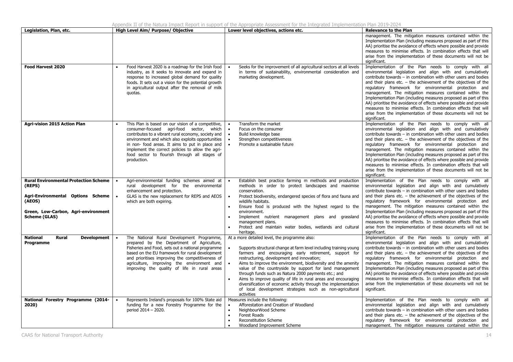| Legislation, Plan, etc.                                                                                                                                              | High Level Aim/ Purpose/ Objective                                                                                                                                                                                                                                                                                                                                                                                  | Lower level objectives, actions etc.                                                                                                                                                                                                                                                                                                                                                                                                                                                                                                                                                                                                                                         | <b>Relevance to the Plan</b>                                                                                                                                                                                                                                                                                                                                                                                                                                                                                                                                                                                                                                                                                                     |
|----------------------------------------------------------------------------------------------------------------------------------------------------------------------|---------------------------------------------------------------------------------------------------------------------------------------------------------------------------------------------------------------------------------------------------------------------------------------------------------------------------------------------------------------------------------------------------------------------|------------------------------------------------------------------------------------------------------------------------------------------------------------------------------------------------------------------------------------------------------------------------------------------------------------------------------------------------------------------------------------------------------------------------------------------------------------------------------------------------------------------------------------------------------------------------------------------------------------------------------------------------------------------------------|----------------------------------------------------------------------------------------------------------------------------------------------------------------------------------------------------------------------------------------------------------------------------------------------------------------------------------------------------------------------------------------------------------------------------------------------------------------------------------------------------------------------------------------------------------------------------------------------------------------------------------------------------------------------------------------------------------------------------------|
|                                                                                                                                                                      |                                                                                                                                                                                                                                                                                                                                                                                                                     |                                                                                                                                                                                                                                                                                                                                                                                                                                                                                                                                                                                                                                                                              | management. The mitigation measures contained within the<br>Implementation Plan (including measures proposed as part of this<br>AA) prioritise the avoidance of effects where possible and provide<br>measures to minimise effects. In combination effects that will<br>arise from the implementation of these documents will not be<br>significant.                                                                                                                                                                                                                                                                                                                                                                             |
| <b>Food Harvest 2020</b>                                                                                                                                             | Food Harvest 2020 is a roadmap for the Irish food<br>industry, as it seeks to innovate and expand in<br>response to increased global demand for quality<br>foods. It sets out a vision for the potential growth<br>in agricultural output after the removal of milk<br>quotas.                                                                                                                                      | Seeks for the improvement of all agricultural sectors at all levels<br>in terms of sustainability, environmental consideration and<br>marketing development.                                                                                                                                                                                                                                                                                                                                                                                                                                                                                                                 | Implementation of the Plan needs to comply with all<br>environmental legislation and align with and cumulatively<br>contribute towards - in combination with other users and bodies<br>and their plans etc. $-$ the achievement of the objectives of the<br>regulatory framework for environmental protection and<br>management. The mitigation measures contained within the<br>Implementation Plan (including measures proposed as part of this<br>AA) prioritise the avoidance of effects where possible and provide<br>measures to minimise effects. In combination effects that will<br>arise from the implementation of these documents will not be<br>significant.                                                        |
| Agri-vision 2015 Action Plan                                                                                                                                         | This Plan is based on our vision of a competitive,<br>consumer-focused agri-food sector, which<br>contributes to a vibrant rural economy, society and<br>environment and which also exploits opportunities<br>in non- food areas. It aims to put in place and<br>implement the correct policies to allow the agri-<br>food sector to flourish through all stages of<br>production.                                  | Transform the market<br>$\bullet$<br>Focus on the consumer<br>$\bullet$<br>Build knowledge base<br>Strengthen competitiveness<br>Promote a sustainable future                                                                                                                                                                                                                                                                                                                                                                                                                                                                                                                | Implementation of the Plan needs to comply with all<br>environmental legislation and align with and cumulatively<br>contribute towards - in combination with other users and bodies<br>and their plans etc. $-$ the achievement of the objectives of the<br>regulatory framework for environmental protection and<br>management. The mitigation measures contained within the<br>Implementation Plan (including measures proposed as part of this<br>AA) prioritise the avoidance of effects where possible and provide<br>measures to minimise effects. In combination effects that will<br>arise from the implementation of these documents will not be<br>significant.                                                        |
| <b>Rural Environmental Protection Scheme</b><br>(REPS)<br>Agri-Environmental Options Scheme<br>(AEOS)<br>Green, Low-Carbon, Agri-environment<br><b>Scheme (GLAS)</b> | Agri-environmental funding schemes aimed at<br>rural development for the environmental<br>enhancement and protection.<br>GLAS is the new replacement for REPS and AEOS<br>which are both expiring.                                                                                                                                                                                                                  | Establish best practice farming m methods and production<br>$\bullet$<br>methods in order to protect landscapes and maximise<br>conservation.<br>Protect biodiversity, endangered species of flora and fauna and<br>wildlife habitats.<br>Ensure food is produced with the highest regard to the<br>$\bullet$<br>environment.<br>Implement nutrient management plans and grassland<br>$\bullet$<br>management plans.<br>Protect and maintain water bodies, wetlands and cultural<br>$\bullet$<br>heritage.                                                                                                                                                                   | Implementation of the Plan needs to comply with all<br>environmental legislation and align with and cumulatively<br>contribute towards - in combination with other users and bodies<br>and their plans etc. $-$ the achievement of the objectives of the<br>regulatory framework for environmental protection and<br>management. The mitigation measures contained within the<br>Implementation Plan (including measures proposed as part of this<br>AA) prioritise the avoidance of effects where possible and provide<br>measures to minimise effects. In combination effects that will<br>arise from the implementation of these documents will not be<br>significant.                                                        |
| <b>National</b><br><b>Rural</b><br><b>Development</b><br>Programme<br>National Forestry Programme (2014-                                                             | The National Rural Development Programme,<br>$\bullet$<br>prepared by the Department of Agriculture,<br>Fisheries and Food, sets out a national programme<br>based on the EU framework for rural development<br>and prioritises improving the competitiveness of<br>agriculture, improving the environment and<br>improving the quality of life in rural areas<br>Represents Ireland's proposals for 100% State aid | At a more detailed level, the programme also:<br>Supports structural change at farm level including training young<br>farmers and encouraging early retirement, support for<br>restructuring, development and innovation;<br>Aims to improve the environment, biodiversity and the amenity<br>value of the countryside by support for land management<br>through funds such as Natura 2000 payments etc.; and<br>Aims to improve quality of life in rural areas and encouraging<br>$\bullet$<br>diversification of economic activity through the implementation<br>of local development strategies such as non-agricultural<br>activities<br>Measures include the following: | Implementation of the Plan needs to comply with all<br>environmental legislation and align with and cumulatively<br>contribute towards - in combination with other users and bodies<br>and their plans etc. $-$ the achievement of the objectives of the<br>regulatory framework for environmental protection and<br>management. The mitigation measures contained within the<br>Implementation Plan (including measures proposed as part of this<br>AA) prioritise the avoidance of effects where possible and provide<br>measures to minimise effects. In combination effects that will<br>arise from the implementation of these documents will not be<br>significant.<br>Implementation of the Plan needs to comply with all |
| 2020)                                                                                                                                                                | funding for a new Forestry Programme for the<br>period 2014 - 2020.                                                                                                                                                                                                                                                                                                                                                 | Afforestation and Creation of Woodland<br>$\bullet$<br>NeighbourWood Scheme<br>Forest Roads<br>$\bullet$<br><b>Reconstitution Scheme</b><br>Woodland Improvement Scheme                                                                                                                                                                                                                                                                                                                                                                                                                                                                                                      | environmental legislation and align with and cumulatively<br>contribute towards - in combination with other users and bodies<br>and their plans etc. $-$ the achievement of the objectives of the<br>regulatory framework for environmental protection and<br>management. The mitigation measures contained within the                                                                                                                                                                                                                                                                                                                                                                                                           |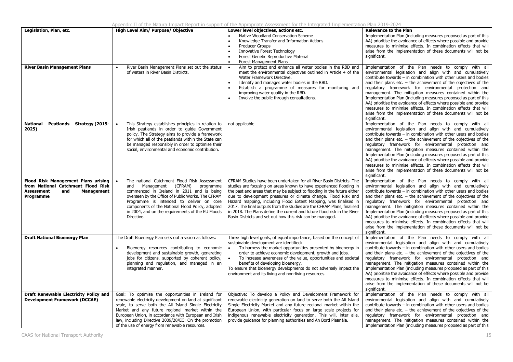Appendix II of the Natura Impact Report in support of the Appropriate Assessment for the Integrated Implementation Plan 2019-2024

| Legislation, Plan, etc.                                                                                                          | High Level Aim/ Purpose/ Objective                                                                                                                                                                                                                                                                                                                                                               | Lower level objectives, actions etc.                                                                                                                                                                                                                                                                                                                                                                                                                                                                                                                                              | <b>Relevance to the Plan</b>                                                                                                                                                                                                                                                                                                                                                                                                                                                                                                                                                                                                                                                |
|----------------------------------------------------------------------------------------------------------------------------------|--------------------------------------------------------------------------------------------------------------------------------------------------------------------------------------------------------------------------------------------------------------------------------------------------------------------------------------------------------------------------------------------------|-----------------------------------------------------------------------------------------------------------------------------------------------------------------------------------------------------------------------------------------------------------------------------------------------------------------------------------------------------------------------------------------------------------------------------------------------------------------------------------------------------------------------------------------------------------------------------------|-----------------------------------------------------------------------------------------------------------------------------------------------------------------------------------------------------------------------------------------------------------------------------------------------------------------------------------------------------------------------------------------------------------------------------------------------------------------------------------------------------------------------------------------------------------------------------------------------------------------------------------------------------------------------------|
|                                                                                                                                  |                                                                                                                                                                                                                                                                                                                                                                                                  | Native Woodland Conservation Scheme<br>Knowledge Transfer and Information Actions<br>Producer Groups<br>$\bullet$<br>Innovative Forest Technology<br>Forest Genetic Reproductive Material<br>Forest Management Plans<br>$\bullet$                                                                                                                                                                                                                                                                                                                                                 | Implementation Plan (including measures proposed as part of this<br>AA) prioritise the avoidance of effects where possible and provide<br>measures to minimise effects. In combination effects that will<br>arise from the implementation of these documents will not be<br>significant.                                                                                                                                                                                                                                                                                                                                                                                    |
| <b>River Basin Management Plans</b>                                                                                              | River Basin Management Plans set out the status<br>of waters in River Basin Districts.                                                                                                                                                                                                                                                                                                           | Aim to protect and enhance all water bodies in the RBD and<br>meet the environmental objectives outlined in Article 4 of the<br>Water Framework Directive.<br>Identify and manages water bodies in the RBD.<br>$\bullet$<br>Establish a programme of measures for monitoring and<br>$\bullet$<br>improving water quality in the RBD.<br>Involve the public through consultations.                                                                                                                                                                                                 | Implementation of the Plan needs to comply with all<br>environmental legislation and align with and cumulatively<br>contribute towards - in combination with other users and bodies<br>and their plans etc. $-$ the achievement of the objectives of the<br>regulatory framework for environmental protection and<br>management. The mitigation measures contained within the<br>Implementation Plan (including measures proposed as part of this<br>AA) prioritise the avoidance of effects where possible and provide<br>measures to minimise effects. In combination effects that will<br>arise from the implementation of these documents will not be<br>significant.   |
| Peatlands Strategy (2015-<br>National<br>2025)                                                                                   | This Strategy establishes principles in relation to<br>$\bullet$<br>Irish peatlands in order to guide Government<br>policy. The Strategy aims to provide a framework<br>for which all of the peatlands within the State can<br>be managed responsibly in order to optimise their<br>social, environmental and economic contribution.                                                             | not applicable                                                                                                                                                                                                                                                                                                                                                                                                                                                                                                                                                                    | Implementation of the Plan needs to comply with all<br>environmental legislation and align with and cumulatively<br>contribute towards - in combination with other users and bodies<br>and their plans etc. $-$ the achievement of the objectives of the<br>regulatory framework for environmental protection and<br>management. The mitigation measures contained within the<br>Implementation Plan (including measures proposed as part of this<br>AA) prioritise the avoidance of effects where possible and provide<br>measures to minimise effects. In combination effects that will<br>arise from the implementation of these documents will not be<br>significant.   |
| Flood Risk Management Plans arising<br>from National Catchment Flood Risk<br><b>Assessment</b><br>and<br>Management<br>Programme | The national Catchment Flood Risk Assessment<br>and Management (CFRAM)<br>programme<br>commenced in Ireland in 2011 and is being<br>overseen by the Office of Public Works. The CFRAM<br>Programme is intended to deliver on core<br>components of the National Flood Policy, adopted<br>in 2004, and on the requirements of the EU Floods<br>Directive.                                         | CFRAM Studies have been undertaken for all River Basin Districts. The<br>studies are focusing on areas known to have experienced flooding in<br>the past and areas that may be subject to flooding in the future either<br>due to development pressures or climate change. Flood Risk and<br>Hazard mapping, including Flood Extent Mapping, was finalised in<br>2017. The final outputs from the studies are the CFRAM Plans, finalised<br>in 2018. The Plans define the current and future flood risk in the River<br>Basin Districts and set out how this risk can be managed. | Implementation of the Plan needs to comply with all<br>environmental legislation and align with and cumulatively<br>contribute towards $-$ in combination with other users and bodies<br>and their plans etc. $-$ the achievement of the objectives of the<br>regulatory framework for environmental protection and<br>management. The mitigation measures contained within the<br>Implementation Plan (including measures proposed as part of this<br>AA) prioritise the avoidance of effects where possible and provide<br>measures to minimise effects. In combination effects that will<br>arise from the implementation of these documents will not be<br>significant. |
| <b>Draft National Bioenergy Plan</b>                                                                                             | The Draft Bioenergy Plan sets out a vision as follows:<br>Bioenergy resources contributing to economic<br>$\bullet$<br>development and sustainable growth, generating<br>jobs for citizens, supported by coherent policy,<br>planning and regulation, and managed in an<br>integrated manner.                                                                                                    | Three high level goals, of equal importance, based on the concept of<br>sustainable development are identified:<br>To harness the market opportunities presented by bioenergy in<br>$\bullet$<br>order to achieve economic development, growth and jobs.<br>To increase awareness of the value, opportunities and societal<br>$\bullet$<br>benefits of developing bioenergy.<br>To ensure that bioenergy developments do not adversely impact the<br>environment and its living and non-living resources.                                                                         | Implementation of the Plan needs to comply with all<br>environmental legislation and align with and cumulatively<br>contribute towards - in combination with other users and bodies<br>and their plans etc. $-$ the achievement of the objectives of the<br>regulatory framework for environmental protection and<br>management. The mitigation measures contained within the<br>Implementation Plan (including measures proposed as part of this<br>AA) prioritise the avoidance of effects where possible and provide<br>measures to minimise effects. In combination effects that will<br>arise from the implementation of these documents will not be<br>significant.   |
| Draft Renewable Electricity Policy and<br><b>Development Framework (DCCAE)</b>                                                   | Goal: To optimise the opportunities in Ireland for<br>renewable electricity development on land at significant<br>scale, to serve both the All Island Single Electricity<br>Market and any future regional market within the<br>European Union, in accordance with European and Irish<br>law, including Directive 2009/28/EC: On the promotion<br>of the use of energy from renewable resources. | Objective: To develop a Policy and Development Framework for<br>renewable electricity generation on land to serve both the All Island<br>Single Electricity Market and any future regional market within the<br>European Union, with particular focus on large scale projects for<br>indigenous renewable electricity generation. This will, inter alia,<br>provide guidance for planning authorities and An Bord Pleanála.                                                                                                                                                       | Implementation of the Plan needs to comply with all<br>environmental legislation and align with and cumulatively<br>contribute towards - in combination with other users and bodies<br>and their plans etc. $-$ the achievement of the objectives of the<br>regulatory framework for environmental protection and<br>management. The mitigation measures contained within the<br>Implementation Plan (including measures proposed as part of this                                                                                                                                                                                                                           |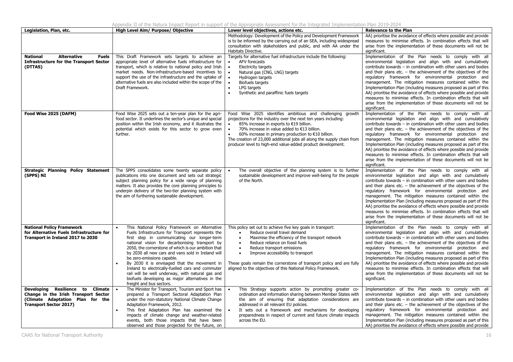Appendix II of the Natura Impact Report in support of the Appropriate Assessment for the Integrated Implementation Plan 2019-2024

| Legislation, Plan, etc.                                                                                                                       | High Level Aim/ Purpose/ Objective                                                                                                                                                                                                                                                                                                                                                                                                                                                                                                                                                      | Lower level objectives, actions etc.                                                                                                                                                                                                                                                                                                                                                                                                               | <b>Relevance to the Plan</b>                                                                                                                                                                                                                                                                                                                                                                                                                                                                                                                                                                                                                                                |
|-----------------------------------------------------------------------------------------------------------------------------------------------|-----------------------------------------------------------------------------------------------------------------------------------------------------------------------------------------------------------------------------------------------------------------------------------------------------------------------------------------------------------------------------------------------------------------------------------------------------------------------------------------------------------------------------------------------------------------------------------------|----------------------------------------------------------------------------------------------------------------------------------------------------------------------------------------------------------------------------------------------------------------------------------------------------------------------------------------------------------------------------------------------------------------------------------------------------|-----------------------------------------------------------------------------------------------------------------------------------------------------------------------------------------------------------------------------------------------------------------------------------------------------------------------------------------------------------------------------------------------------------------------------------------------------------------------------------------------------------------------------------------------------------------------------------------------------------------------------------------------------------------------------|
| <b>Alternative</b><br><b>National</b><br><b>Fuels</b><br><b>Infrastructure for the Transport Sector</b>                                       | This Draft Framework sets targets to achieve an<br>appropriate level of alternative fuels infrastructure for                                                                                                                                                                                                                                                                                                                                                                                                                                                                            | Methodology: Development of the Policy and Development Framework<br>is to be informed by the carrying out of an SEA, including widespread<br>consultation with stakeholders and public, and with AA under the<br>Habitats Directive.<br>Targets for alternative fuel infrastructure include the following:<br>AFV forecasts<br>$\bullet$                                                                                                           | AA) prioritise the avoidance of effects where possible and provide<br>measures to minimise effects. In combination effects that will<br>arise from the implementation of these documents will not be<br>significant.<br>Implementation of the Plan needs to comply with all<br>environmental legislation and align with and cumulatively                                                                                                                                                                                                                                                                                                                                    |
| (DTTAS)                                                                                                                                       | transport, which is relative to national policy and Irish<br>market needs. Non-infrastructure-based incentives to<br>support the use of the infrastructure and the uptake of<br>alternative fuels are also included within the scope of the<br>Draft Framework.                                                                                                                                                                                                                                                                                                                         | $\bullet$<br><b>Electricity targets</b><br>Natural gas (CNG, LNG) targets<br>$\bullet$<br>$\bullet$<br>Hydrogen targets<br>$\bullet$<br>Biofuels targets<br>LPG targets<br>Synthetic and paraffinic fuels targets                                                                                                                                                                                                                                  | contribute towards - in combination with other users and bodies<br>and their plans etc. $-$ the achievement of the objectives of the<br>regulatory framework for environmental protection and<br>management. The mitigation measures contained within the<br>Implementation Plan (including measures proposed as part of this<br>AA) prioritise the avoidance of effects where possible and provide<br>measures to minimise effects. In combination effects that will<br>arise from the implementation of these documents will not be<br>significant.                                                                                                                       |
| Food Wise 2025 (DAFM)                                                                                                                         | Food Wise 2025 sets out a ten-year plan for the agri-<br>food sector. It underlines the sector's unique and special<br>position within the Irish economy, and it illustrates the<br>potential which exists for this sector to grow even<br>further.                                                                                                                                                                                                                                                                                                                                     | Food Wise 2025 identifies ambitious and challenging growth<br>projections for the industry over the next ten years including:<br>85% increase in exports to €19 billion.<br>$\bullet$<br>70% increase in value added to €13 billion.<br>$\bullet$<br>60% increase in primary production to $€10$ billion.<br>The creation of 23,000 additional jobs all along the supply chain from<br>producer level to high-end value-added product development. | Implementation of the Plan needs to comply with all<br>environmental legislation and align with and cumulatively<br>contribute towards - in combination with other users and bodies<br>and their plans etc. $-$ the achievement of the objectives of the<br>regulatory framework for environmental protection and<br>management. The mitigation measures contained within the<br>Implementation Plan (including measures proposed as part of this<br>AA) prioritise the avoidance of effects where possible and provide<br>measures to minimise effects. In combination effects that will<br>arise from the implementation of these documents will not be<br>significant.   |
| Strategic Planning Policy Statement<br>(SPPS) NI                                                                                              | The SPPS consolidates some twenty separate policy<br>publications into one document and sets out strategic<br>subject planning policy for a wide range of planning<br>matters. It also provides the core planning principles to<br>underpin delivery of the two-tier planning system with<br>the aim of furthering sustainable development.                                                                                                                                                                                                                                             | The overall objective of the planning system is to further<br>sustainable development and improve well-being for the people<br>of the North.                                                                                                                                                                                                                                                                                                       | Implementation of the Plan needs to comply with all<br>environmental legislation and align with and cumulatively<br>contribute towards $-$ in combination with other users and bodies<br>and their plans etc. $-$ the achievement of the objectives of the<br>regulatory framework for environmental protection and<br>management. The mitigation measures contained within the<br>Implementation Plan (including measures proposed as part of this<br>AA) prioritise the avoidance of effects where possible and provide<br>measures to minimise effects. In combination effects that will<br>arise from the implementation of these documents will not be<br>significant. |
| <b>National Policy Framework</b><br>for Alternative Fuels Infrastructure for<br>Transport in Ireland 2017 to 2030                             | This National Policy Framework on Alternative<br>Fuels Infrastructure for Transport represents the<br>first step in communicating our longer-term<br>national vision for decarbonising transport by<br>2050, the cornerstone of which is our ambition that<br>by 2030 all new cars and vans sold in Ireland will<br>be zero-emissions capable.<br>By 2030 it is envisaged that the movement in<br>Ireland to electrically-fuelled cars and commuter<br>rail will be well underway, with natural gas and<br>biofuels developing as major alternatives in the<br>freight and bus sectors. | This policy set out to achieve five key goals in transport:<br>Reduce overall travel demand<br>Maximise the efficiency of the transport network<br>$\bullet$<br>Reduce reliance on fossil fuels<br>$\bullet$<br>Reduce transport emissions<br>$\bullet$<br>Improve accessibility to transport<br>These goals remain the cornerstone of transport policy and are fully<br>aligned to the objectives of this National Policy Framework.              | Implementation of the Plan needs to comply with all<br>environmental legislation and align with and cumulatively<br>contribute towards - in combination with other users and bodies<br>and their plans etc. $-$ the achievement of the objectives of the<br>regulatory framework for environmental protection and<br>management. The mitigation measures contained within the<br>Implementation Plan (including measures proposed as part of this<br>AA) prioritise the avoidance of effects where possible and provide<br>measures to minimise effects. In combination effects that will<br>arise from the implementation of these documents will not be<br>significant.   |
| Developing Resilience to Climate<br>Change in the Irish Transport Sector<br>(Climate Adaptation Plan for the<br><b>Transport Sector 2017)</b> | The Minister for Transport, Tourism and Sport has<br>prepared a Transport Sectoral Adaptation Plan<br>under the non-statutory National Climate Change<br>Adaptation Framework, 2012.<br>This first Adaptation Plan has examined the<br>impacts of climate change and weather-related<br>events, both those impacts that have been<br>observed and those projected for the future, on                                                                                                                                                                                                    | This Strategy supports action by promoting greater co-<br>ordination and information sharing between Member States with<br>the aim of ensuring that adaptation considerations are<br>addressed in all relevant EU policies.<br>It sets out a framework and mechanisms for developing<br>preparedness in respect of current and future climate impacts<br>across the EU.                                                                            | Implementation of the Plan needs to comply with all<br>environmental legislation and align with and cumulatively<br>contribute towards - in combination with other users and bodies<br>and their plans etc. $-$ the achievement of the objectives of the<br>regulatory framework for environmental protection and<br>management. The mitigation measures contained within the<br>Implementation Plan (including measures proposed as part of this<br>AA) prioritise the avoidance of effects where possible and provide                                                                                                                                                     |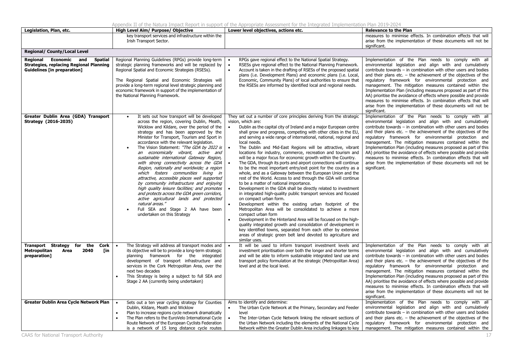Appendix II of the Natura Impact Report in support of the Appropriate Assessment for the Integrated Implementation Plan 2019-2024 **Legislation, Plan, etc. High Level Aim/ Purpose/ Objective Lower level objectives, actions etc. Relevance to the Plan** key transport services and infrastructure within the Irish Transport Sector. measures to minimise effects. In combination effects that will arise from the implementation of these documents will not be significant. **Regional/ County/Local Level Regional Economic and Spatial Strategies, replacing Regional Planning Guidelines [in preparation]**  Regional Planning Guidelines (RPGs) provide long-term strategic planning frameworks and will be replaced by Regional Spatial and Economic Strategies (RSESs). The Regional Spatial and Economic Strategies will provide a long-term regional level strategic planning and economic framework in support of the implementation of the National Planning Framework. . RPGs gave regional effect to the National Spatial Strategy. . RSESs give regional effect to the National Planning Framework. Account is taken in the drafting of RSESs of the proposed spatial plans (i.e. Development Plans) and economic plans (i.e. Local, Economic, Community Plans) of local authorities to ensure that the RSESs are informed by identified local and regional needs. Implementation of the Plan needs to comply with all environmental legislation and align with and cumulatively contribute towards – in combination with other users and bodies and their plans etc. – the achievement of the objectives of the regulatory framework for environmental protection and management. The mitigation measures contained within the Implementation Plan (including measures proposed as part of this AA) prioritise the avoidance of effects where possible and provide measures to minimise effects. In combination effects that will arise from the implementation of these documents will not be significant. **Greater Dublin Area (GDA) Transport Strategy (2016-2035)**  c It sets out how transport will be developed across the region, covering Dublin, Meath, Wicklow and Kildare, over the period of the strategy and has been approved by the Minister for Transport, Tourism and Sport in accordance with the relevant legislation. c The Vision Statement: "The GDA by 2022 is an economically vibrant, active and sustainable international Gateway Region, with strong connectivity across the GDA Region, nationally and worldwide; a region which fosters communities living in attractive, accessible places well supported by community infrastructure and enjoying high quality leisure facilities; and promotes and protects across the GDA green corridors, active agricultural lands and protected natural areas." Full SEA and Stage 2 AA have been c undertaken on this Strategy They set out a number of core principles deriving from the strategic vision, which are: . Dublin as the capital city of Ireland and a major European centre shall grow and progress, competing with other cities in the EU, and serving a wide range of international, national, regional and local needs. The Dublin and Mid-East Regions will be attractive, vibrant . locations for industry, commerce, recreation and tourism and will be a major focus for economic growth within the Country. . The GDA, through its ports and airport connections will continue to be the most important entry/exit point for the country as a whole, and as a Gateway between the European Union and the rest of the World. Access to and through the GDA will continue to be a matter of national importance. Development in the GDA shall be directly related to investment in integrated high-quality public transport services and focused on compact urban form. Development within the existing urban footprint of the Metropolitan Area will be consolidated to achieve a more compact urban form Development in the Hinterland Area will be focused on the highquality integrated growth and consolidation of development in key identified towns, separated from each other by extensive areas of strategic green belt land devoted to agriculture and similar uses. Implementation of the Plan needs to comply with all environmental legislation and align with and cumulatively contribute towards – in combination with other users and bodies and their plans etc. – the achievement of the objectives of the regulatory framework for environmental protection and management. The mitigation measures contained within the Implementation Plan (including measures proposed as part of this AA) prioritise the avoidance of effects where possible and provide measures to minimise effects. In combination effects that will arise from the implementation of these documents will not be significant. **Transport Strategy for the Cork Metropolitan Area 2040 [in preparation]**  The Strategy will address all transport modes and its objective will be to provide a long-term strategic planning framework for the integrated development of transport infrastructure and services in the Cork Metropolitan Area, over the next two decades ۰ This Strategy is being a subject to full SEA and Stage 2 AA (currently being undertaken) It will be used to inform transport investment levels and investment prioritisation over both the longer and shorter terms and will be able to inform sustainable integrated land use and transport policy formulation at the strategic (Metropolitan Area) level and at the local level. Implementation of the Plan needs to comply with all environmental legislation and align with and cumulatively contribute towards – in combination with other users and bodies and their plans etc. – the achievement of the objectives of the regulatory framework for environmental protection and management. The mitigation measures contained within the Implementation Plan (including measures proposed as part of this AA) prioritise the avoidance of effects where possible and provide measures to minimise effects. In combination effects that will arise from the implementation of these documents will not be significant. **Greater Dublin Area Cycle Network Plan**  $\bullet$  Sets out a ten year cycling strategy for Counties Dublin, Kildare, Meath and Wicklow Plan to increase regions cycle network dramatically c The Plan refers to the EuroVelo International Cycle Route Network of the European Cyclists Federation is a network of 15 long distance cycle routes Aims to identify and determine: The Urban Cycle Network at the Primary, Secondary and Feeder level . The Inter-Urban Cycle Network linking the relevant sections of the Urban Network including the elements of the National Cycle Network within the Greater Dublin Area including linkages to key Implementation of the Plan needs to comply with all environmental legislation and align with and cumulatively contribute towards – in combination with other users and bodies and their plans etc. – the achievement of the objectives of the regulatory framework for environmental protection and management. The mitigation measures contained within the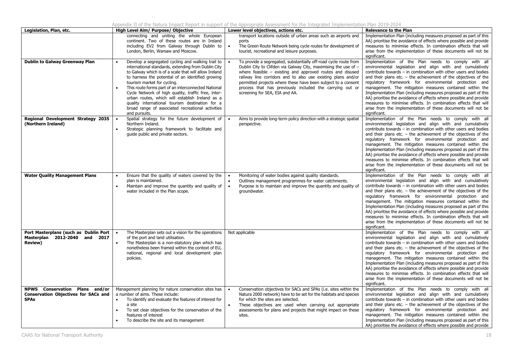| Legislation, Plan, etc.                                                                      | High Level Aim/ Purpose/ Objective                                                                                                                                                                                                                                                                                                                                                                                                                                                                                                              | Lower level objectives, actions etc.                                                                                                                                                                                                                                                                                                                                                                                              | <b>Relevance to the Plan</b>                                                                                                                                                                                                                                                                                                                                                                                                                                                                                                                                                                                                                                                |  |  |
|----------------------------------------------------------------------------------------------|-------------------------------------------------------------------------------------------------------------------------------------------------------------------------------------------------------------------------------------------------------------------------------------------------------------------------------------------------------------------------------------------------------------------------------------------------------------------------------------------------------------------------------------------------|-----------------------------------------------------------------------------------------------------------------------------------------------------------------------------------------------------------------------------------------------------------------------------------------------------------------------------------------------------------------------------------------------------------------------------------|-----------------------------------------------------------------------------------------------------------------------------------------------------------------------------------------------------------------------------------------------------------------------------------------------------------------------------------------------------------------------------------------------------------------------------------------------------------------------------------------------------------------------------------------------------------------------------------------------------------------------------------------------------------------------------|--|--|
|                                                                                              | connecting and uniting the whole European<br>continent. Two of these routes are in Ireland<br>including EV2 from Galway through Dublin to<br>London, Berlin, Warsaw and Moscow.                                                                                                                                                                                                                                                                                                                                                                 | transport locations outside of urban areas such as airports and<br>ports<br>The Green Route Network being cycle routes for development of<br>$\bullet$<br>tourist, recreational and leisure purposes.                                                                                                                                                                                                                             | Implementation Plan (including measures proposed as part of this<br>AA) prioritise the avoidance of effects where possible and provide<br>measures to minimise effects. In combination effects that will<br>arise from the implementation of these documents will not be<br>significant.                                                                                                                                                                                                                                                                                                                                                                                    |  |  |
| <b>Dublin to Galway Greenway Plan</b>                                                        | Develop a segregated cycling and walking trail to<br>international standards, extending from Dublin City<br>to Galway which is of a scale that will allow Ireland<br>to harness the potential of an identified growing<br>tourism market for cycling.<br>This route forms part of an interconnected National<br>Cycle Network of high quality, traffic free, inter-<br>urban routes, which will establish Ireland as a<br>quality international tourism destination for a<br>broad range of associated recreational activities<br>and pursuits. | To provide a segregated, substantially off-road cycle route from<br>Dublin City to Clifden via Galway City, maximising the use of -<br>where feasible $-$ existing and approved routes and disused<br>railway line corridors and to also use existing plans and/or<br>permitted projects where these have been subject to a consent<br>process that has previously included the carrying out or<br>screening for SEA, EIA and AA. | Implementation of the Plan needs to comply with all<br>environmental legislation and align with and cumulatively<br>contribute towards - in combination with other users and bodies<br>and their plans etc. $-$ the achievement of the objectives of the<br>regulatory framework for environmental protection and<br>management. The mitigation measures contained within the<br>Implementation Plan (including measures proposed as part of this<br>AA) prioritise the avoidance of effects where possible and provide<br>measures to minimise effects. In combination effects that will<br>arise from the implementation of these documents will not be<br>significant.   |  |  |
| Regional Development Strategy 2035<br>(Northern Ireland)                                     | Spatial strategy for the future development of<br>Northern Ireland.<br>Strategic planning framework to facilitate and<br>guide public and private sectors.                                                                                                                                                                                                                                                                                                                                                                                      | Aims to provide long-term policy direction with a strategic spatial<br>perspective.                                                                                                                                                                                                                                                                                                                                               | Implementation of the Plan needs to comply with all<br>environmental legislation and align with and cumulatively<br>contribute towards - in combination with other users and bodies<br>and their plans etc. $-$ the achievement of the objectives of the<br>regulatory framework for environmental protection and<br>management. The mitigation measures contained within the<br>Implementation Plan (including measures proposed as part of this<br>AA) prioritise the avoidance of effects where possible and provide<br>measures to minimise effects. In combination effects that will<br>arise from the implementation of these documents will not be<br>significant.   |  |  |
| <b>Water Quality Management Plans</b>                                                        | Ensure that the quality of waters covered by the<br>plan is maintained.<br>Maintain and improve the quantity and quality of<br>water included in the Plan scope.                                                                                                                                                                                                                                                                                                                                                                                | Monitoring of water bodies against quality standards.<br>$\bullet$<br>Outlines management programmes for water catchments.<br>Purpose is to maintain and improve the quantity and quality of<br>$\bullet$<br>groundwater.                                                                                                                                                                                                         | Implementation of the Plan needs to comply with all<br>environmental legislation and align with and cumulatively<br>contribute towards $-$ in combination with other users and bodies<br>and their plans etc. $-$ the achievement of the objectives of the<br>regulatory framework for environmental protection and<br>management. The mitigation measures contained within the<br>Implementation Plan (including measures proposed as part of this<br>AA) prioritise the avoidance of effects where possible and provide<br>measures to minimise effects. In combination effects that will<br>arise from the implementation of these documents will not be<br>significant. |  |  |
| Port Masterplans (such as Dublin Port<br>Masterplan 2012-2040 and 2017<br><b>Review)</b>     | The Masterplan sets out a vision for the operations<br>of the port and land utilisation.<br>The Masterplan is a non-statutory plan which has<br>$\bullet$<br>nonetheless been framed within the context of EU,<br>national, regional and local development plan<br>policies.                                                                                                                                                                                                                                                                    | Not applicable                                                                                                                                                                                                                                                                                                                                                                                                                    | Implementation of the Plan needs to comply with all<br>environmental legislation and align with and cumulatively<br>contribute towards - in combination with other users and bodies<br>and their plans etc. $-$ the achievement of the objectives of the<br>regulatory framework for environmental protection and<br>management. The mitigation measures contained within the<br>Implementation Plan (including measures proposed as part of this<br>AA) prioritise the avoidance of effects where possible and provide<br>measures to minimise effects. In combination effects that will<br>arise from the implementation of these documents will not be<br>significant.   |  |  |
| NPWS Conservation Plans and/or<br><b>Conservation Objectives for SACs and</b><br><b>SPAs</b> | Management planning for nature conservation sites has<br>a number of aims. These include:<br>To identify and evaluate the features of interest for<br>a site<br>To set clear objectives for the conservation of the<br>features of interest<br>To describe the site and its management                                                                                                                                                                                                                                                          | Conservation objectives for SACs and SPAs (i.e. sites within the<br>$\bullet$<br>Natura 2000 network) have to be set for the habitats and species<br>for which the sites are selected.<br>These objectives are used when carrying out appropriate<br>assessments for plans and projects that might impact on these<br>sites.                                                                                                      | Implementation of the Plan needs to comply with all<br>environmental legislation and align with and cumulatively<br>contribute towards $-$ in combination with other users and bodies<br>and their plans etc. $-$ the achievement of the objectives of the<br>regulatory framework for environmental protection and<br>management. The mitigation measures contained within the<br>Implementation Plan (including measures proposed as part of this<br>AA) prioritise the avoidance of effects where possible and provide                                                                                                                                                   |  |  |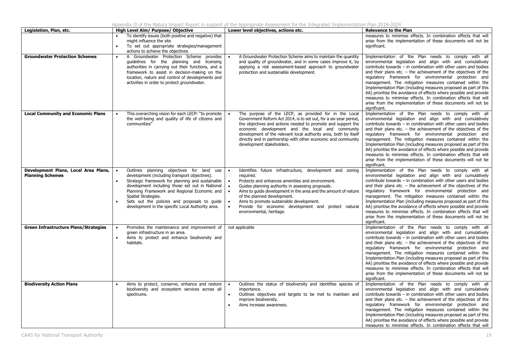|  |  |  |  | Appendix II of the Natura Impact Report in support of the Appropriate Assessment for the Integrated Implementation Plan 2019-2024 |  |  |  |
|--|--|--|--|-----------------------------------------------------------------------------------------------------------------------------------|--|--|--|
|  |  |  |  |                                                                                                                                   |  |  |  |

| Legislation, Plan, etc.                                         | High Level Aim/ Purpose/ Objective                                                                                                                                                                                                                                                                                                                                                                         | Lower level objectives, actions etc.                                                                                                                                                                                                                                                                                                                                                                                         | <b>Relevance to the Plan</b>                                                                                                                                                                                                                                                                                                                                                                                                                                                                                                                                                                                                                                                |
|-----------------------------------------------------------------|------------------------------------------------------------------------------------------------------------------------------------------------------------------------------------------------------------------------------------------------------------------------------------------------------------------------------------------------------------------------------------------------------------|------------------------------------------------------------------------------------------------------------------------------------------------------------------------------------------------------------------------------------------------------------------------------------------------------------------------------------------------------------------------------------------------------------------------------|-----------------------------------------------------------------------------------------------------------------------------------------------------------------------------------------------------------------------------------------------------------------------------------------------------------------------------------------------------------------------------------------------------------------------------------------------------------------------------------------------------------------------------------------------------------------------------------------------------------------------------------------------------------------------------|
|                                                                 | To identify issues (both positive and negative) that<br>might influence the site<br>To set out appropriate strategies/management<br>$\bullet$<br>actions to achieve the objectives                                                                                                                                                                                                                         |                                                                                                                                                                                                                                                                                                                                                                                                                              | measures to minimise effects. In combination effects that will<br>arise from the implementation of these documents will not be<br>significant.                                                                                                                                                                                                                                                                                                                                                                                                                                                                                                                              |
| <b>Groundwater Protection Schemes</b>                           | A Groundwater Protection Scheme provides<br>$\bullet$<br>guidelines for the planning and licensing<br>authorities in carrying out their functions, and a<br>framework to assist in decision-making on the<br>location, nature and control of developments and<br>activities in order to protect groundwater.                                                                                               | A Groundwater Protection Scheme aims to maintain the quantity<br>and quality of groundwater, and in some cases improve it, by<br>applying a risk assessment-based approach to groundwater<br>protection and sustainable development.                                                                                                                                                                                         | Implementation of the Plan needs to comply with all<br>environmental legislation and align with and cumulatively<br>contribute towards $-$ in combination with other users and bodies<br>and their plans etc. $-$ the achievement of the objectives of the<br>regulatory framework for environmental protection and<br>management. The mitigation measures contained within the<br>Implementation Plan (including measures proposed as part of this<br>AA) prioritise the avoidance of effects where possible and provide<br>measures to minimise effects. In combination effects that will<br>arise from the implementation of these documents will not be<br>significant. |
| <b>Local Community and Economic Plans</b>                       | This overarching vision for each LECP: "to promote<br>the well-being and quality of life of citizens and<br>communities"                                                                                                                                                                                                                                                                                   | The purpose of the LECP, as provided for in the Local<br>Government Reform Act 2014, is to set out, for a six-year period,<br>the objectives and actions needed to promote and support the<br>economic development and the local and community<br>development of the relevant local authority area, both by itself<br>directly and in partnership with other economic and community<br>development stakeholders.             | Implementation of the Plan needs to comply with all<br>environmental legislation and align with and cumulatively<br>contribute towards $-$ in combination with other users and bodies<br>and their plans etc. $-$ the achievement of the objectives of the<br>regulatory framework for environmental protection and<br>management. The mitigation measures contained within the<br>Implementation Plan (including measures proposed as part of this<br>AA) prioritise the avoidance of effects where possible and provide<br>measures to minimise effects. In combination effects that will<br>arise from the implementation of these documents will not be<br>significant. |
| Development Plans, Local Area Plans,<br><b>Planning Schemes</b> | Outlines planning objectives for land<br>use<br>$\bullet$<br>development (including transport objectives).<br>Strategic framework for planning and sustainable<br>$\bullet$<br>development including those set out in National<br>Planning Framework and Regional Economic and<br>Spatial Strategies.<br>Sets out the policies and proposals to guide<br>development in the specific Local Authority area. | Identifies future infrastructure, development and zoning<br>$\bullet$<br>required.<br>Protects and enhances amenities and environment.<br>Guides planning authority in assessing proposals.<br>Aims to guide development in the area and the amount of nature<br>of the planned development.<br>Aims to promote sustainable development.<br>Provide for economic development and protect natural<br>environmental, heritage. | Implementation of the Plan needs to comply with all<br>environmental legislation and align with and cumulatively<br>contribute towards - in combination with other users and bodies<br>and their plans etc. $-$ the achievement of the objectives of the<br>regulatory framework for environmental protection and<br>management. The mitigation measures contained within the<br>Implementation Plan (including measures proposed as part of this<br>AA) prioritise the avoidance of effects where possible and provide<br>measures to minimise effects. In combination effects that will<br>arise from the implementation of these documents will not be<br>significant.   |
| Green Infrastructure Plans/Strategies                           | Promotes the maintenance and improvement of<br>$\bullet$<br>green infrastructure in an area.<br>Aims to protect and enhance biodiversity and<br>$\bullet$<br>habitats.                                                                                                                                                                                                                                     | not applicable                                                                                                                                                                                                                                                                                                                                                                                                               | Implementation of the Plan needs to comply with all<br>environmental legislation and align with and cumulatively<br>contribute towards - in combination with other users and bodies<br>and their plans etc. $-$ the achievement of the objectives of the<br>regulatory framework for environmental protection and<br>management. The mitigation measures contained within the<br>Implementation Plan (including measures proposed as part of this<br>AA) prioritise the avoidance of effects where possible and provide<br>measures to minimise effects. In combination effects that will<br>arise from the implementation of these documents will not be<br>significant.   |
| <b>Biodiversity Action Plans</b>                                | Aims to protect, conserve, enhance and restore<br>biodiversity and ecosystem services across all<br>spectrums.                                                                                                                                                                                                                                                                                             | Outlines the status of biodiversity and identifies species of<br>importance.<br>Outlines objectives and targets to be met to maintain and<br>improve biodiversity.<br>Aims increase awareness.                                                                                                                                                                                                                               | Implementation of the Plan needs to comply with all<br>environmental legislation and align with and cumulatively<br>contribute towards - in combination with other users and bodies<br>and their plans etc. $-$ the achievement of the objectives of the<br>regulatory framework for environmental protection and<br>management. The mitigation measures contained within the<br>Implementation Plan (including measures proposed as part of this<br>AA) prioritise the avoidance of effects where possible and provide<br>measures to minimise effects. In combination effects that will                                                                                   |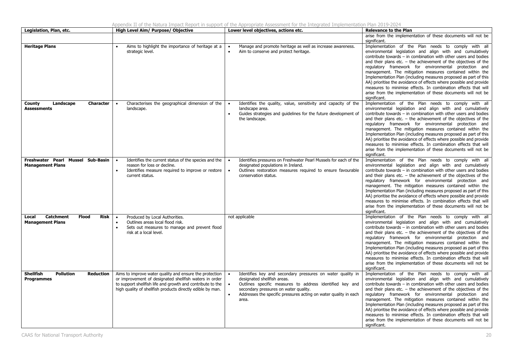| Legislation, Plan, etc.                                                             | High Level Aim/ Purpose/ Objective                                                                                                                                                                                                            | Lower level objectives, actions etc.                                                                                                                                                                                                                                        | <b>Relevance to the Plan</b>                                                                                                                                                                                                                                                                                                                                                                                                                                                                                                                                                                                                                                                |
|-------------------------------------------------------------------------------------|-----------------------------------------------------------------------------------------------------------------------------------------------------------------------------------------------------------------------------------------------|-----------------------------------------------------------------------------------------------------------------------------------------------------------------------------------------------------------------------------------------------------------------------------|-----------------------------------------------------------------------------------------------------------------------------------------------------------------------------------------------------------------------------------------------------------------------------------------------------------------------------------------------------------------------------------------------------------------------------------------------------------------------------------------------------------------------------------------------------------------------------------------------------------------------------------------------------------------------------|
|                                                                                     |                                                                                                                                                                                                                                               |                                                                                                                                                                                                                                                                             | arise from the implementation of these documents will not be                                                                                                                                                                                                                                                                                                                                                                                                                                                                                                                                                                                                                |
|                                                                                     |                                                                                                                                                                                                                                               |                                                                                                                                                                                                                                                                             | significant.                                                                                                                                                                                                                                                                                                                                                                                                                                                                                                                                                                                                                                                                |
| <b>Heritage Plans</b>                                                               | Aims to highlight the importance of heritage at a<br>strategic level.                                                                                                                                                                         | Manage and promote heritage as well as increase awareness.<br>Aim to conserve and protect heritage.                                                                                                                                                                         | Implementation of the Plan needs to comply with all<br>environmental legislation and align with and cumulatively<br>contribute towards $-$ in combination with other users and bodies<br>and their plans etc. $-$ the achievement of the objectives of the<br>regulatory framework for environmental protection and<br>management. The mitigation measures contained within the<br>Implementation Plan (including measures proposed as part of this<br>AA) prioritise the avoidance of effects where possible and provide<br>measures to minimise effects. In combination effects that will<br>arise from the implementation of these documents will not be<br>significant. |
| Landscape<br><b>Character</b><br><b>County</b><br><b>Assessments</b>                | Characterises the geographical dimension of the<br>landscape.                                                                                                                                                                                 | Identifies the quality, value, sensitivity and capacity of the<br>$\bullet$<br>landscape area.<br>Guides strategies and guidelines for the future development of<br>the landscape.                                                                                          | Implementation of the Plan needs to comply with all<br>environmental legislation and align with and cumulatively<br>contribute towards - in combination with other users and bodies<br>and their plans etc. $-$ the achievement of the objectives of the<br>regulatory framework for environmental protection and<br>management. The mitigation measures contained within the<br>Implementation Plan (including measures proposed as part of this<br>AA) prioritise the avoidance of effects where possible and provide<br>measures to minimise effects. In combination effects that will<br>arise from the implementation of these documents will not be<br>significant.   |
| Freshwater Pearl Mussel Sub-Basin<br><b>Management Plans</b>                        | Identifies the current status of the species and the<br>reason for loss or decline.<br>Identifies measure required to improve or restore<br>current status.                                                                                   | Identifies pressures on Freshwater Pearl Mussels for each of the<br>designated populations in Ireland.<br>Outlines restoration measures required to ensure favourable<br>conservation status.                                                                               | Implementation of the Plan needs to comply with all<br>environmental legislation and align with and cumulatively<br>contribute towards - in combination with other users and bodies<br>and their plans etc. $-$ the achievement of the objectives of the<br>regulatory framework for environmental protection and<br>management. The mitigation measures contained within the<br>Implementation Plan (including measures proposed as part of this<br>AA) prioritise the avoidance of effects where possible and provide<br>measures to minimise effects. In combination effects that will<br>arise from the implementation of these documents will not be<br>significant.   |
| <b>Catchment</b><br><b>Flood</b><br><b>Risk</b><br>Local<br><b>Management Plans</b> | Produced by Local Authorities.<br>$\bullet$<br>Outlines areas local flood risk.<br>Sets out measures to manage and prevent flood<br>risk at a local level.                                                                                    | not applicable                                                                                                                                                                                                                                                              | Implementation of the Plan needs to comply with all<br>environmental legislation and align with and cumulatively<br>contribute towards $-$ in combination with other users and bodies<br>and their plans etc. $-$ the achievement of the objectives of the<br>regulatory framework for environmental protection and<br>management. The mitigation measures contained within the<br>Implementation Plan (including measures proposed as part of this<br>AA) prioritise the avoidance of effects where possible and provide<br>measures to minimise effects. In combination effects that will<br>arise from the implementation of these documents will not be<br>significant. |
| <b>Shellfish</b><br><b>Pollution</b><br><b>Reduction</b><br><b>Programmes</b>       | Aims to improve water quality and ensure the protection<br>or improvement of designated shellfish waters in order<br>to support shellfish life and growth and contribute to the<br>high quality of shellfish products directly edible by man. | Identifies key and secondary pressures on water quality in<br>designated shellfish areas.<br>Outlines specific measures to address identified key and<br>secondary pressures on water quality.<br>Addresses the specific pressures acting on water quality in each<br>area. | Implementation of the Plan needs to comply with all<br>environmental legislation and align with and cumulatively<br>contribute towards - in combination with other users and bodies<br>and their plans etc. $-$ the achievement of the objectives of the<br>regulatory framework for environmental protection and<br>management. The mitigation measures contained within the<br>Implementation Plan (including measures proposed as part of this<br>AA) prioritise the avoidance of effects where possible and provide<br>measures to minimise effects. In combination effects that will<br>arise from the implementation of these documents will not be<br>significant.   |